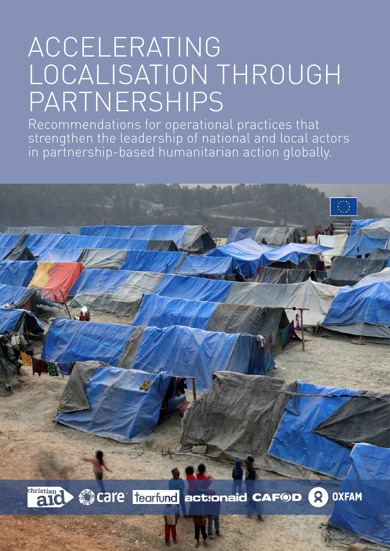# ACCELERATING LOCALISATION THROUGH PARTNERSHIPS

Recommendations for operational practices that strengthen the leadership of national and local actors in partnership-based humanitarian action globally.

ahristian ) So Care tearfund actionaid CAFOD 8 **OXFAM**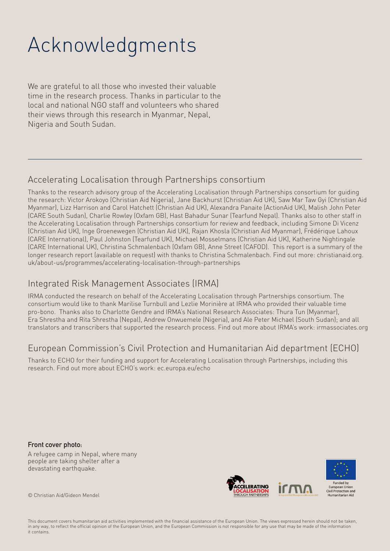# Acknowledgments

We are grateful to all those who invested their valuable time in the research process. Thanks in particular to the local and national NGO staff and volunteers who shared their views through this research in Myanmar, Nepal, Nigeria and South Sudan.

### Accelerating Localisation through Partnerships consortium

Thanks to the research advisory group of the Accelerating Localisation through Partnerships consortium for guiding the research: Victor Arokoyo (Christian Aid Nigeria), Jane Backhurst (Christian Aid UK), Saw Mar Taw Gyi (Christian Aid Myanmar), Lizz Harrison and Carol Hatchett (Christian Aid UK), Alexandra Panaite (ActionAid UK), Malish John Peter (CARE South Sudan), Charlie Rowley (Oxfam GB), Hast Bahadur Sunar (Tearfund Nepal). Thanks also to other staff in the Accelerating Localisation through Partnerships consortium for review and feedback, including Simone Di Vicenz (Christian Aid UK), Inge Groenewegen (Christian Aid UK), Rajan Khosla (Christian Aid Myanmar), Frédérique Lahoux (CARE International), Paul Johnston (Tearfund UK), Michael Mosselmans (Christian Aid UK), Katherine Nightingale (CARE International UK), Christina Schmalenbach (Oxfam GB), Anne Street (CAFOD). This report is a summary of the longer research report (available on request) with thanks to Christina Schmalenbach. Find out more: christianaid.org. uk/about-us/programmes/accelerating-localisation-through-partnerships

### Integrated Risk Management Associates (IRMA)

IRMA conducted the research on behalf of the Accelerating Localisation through Partnerships consortium. The consortium would like to thank Marilise Turnbull and Lezlie Morinière at IRMA who provided their valuable time pro-bono. Thanks also to Charlotte Gendre and IRMA's National Research Associates: Thura Tun (Myanmar), Era Shrestha and Rita Shrestha (Nepal), Andrew Onwuemele (Nigeria), and Ale Peter Michael (South Sudan); and all translators and transcribers that supported the research process. Find out more about IRMA's work: irmassociates.org

## European Commission's Civil Protection and Humanitarian Aid department (ECHO)

Thanks to ECHO for their funding and support for Accelerating Localisation through Partnerships, including this research. Find out more about ECHO's work: ec.europa.eu/echo

**Front cover photo:** A refugee camp in Nepal, where many people are taking shelter after a devastating earthquake.



© Christian Aid/Gideon Mendel

This document covers humanitarian aid activities implemented with the financial assistance of the European Union. The views expressed herein should not be taken, in any way, to reflect the official opinion of the European Union, and the European Commission is not responsible for any use that may be made of the information it contains.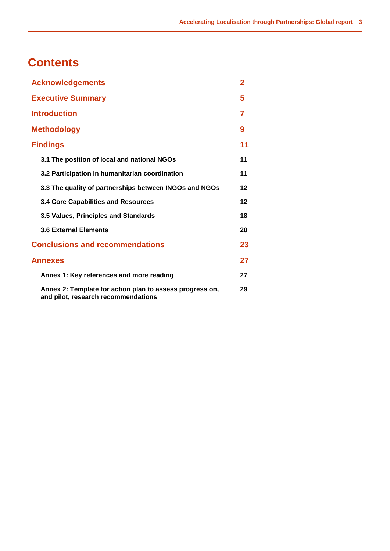## **Contents**

| <b>Acknowledgements</b>                                                                         | $\overline{2}$ |
|-------------------------------------------------------------------------------------------------|----------------|
| <b>Executive Summary</b>                                                                        | 5              |
| <b>Introduction</b>                                                                             | 7              |
| <b>Methodology</b>                                                                              | 9              |
| <b>Findings</b>                                                                                 | 11             |
| 3.1 The position of local and national NGOs                                                     | 11             |
| 3.2 Participation in humanitarian coordination                                                  | 11             |
| 3.3 The quality of partnerships between INGOs and NGOs                                          | 12             |
| 3.4 Core Capabilities and Resources                                                             | 12             |
| 3.5 Values, Principles and Standards                                                            | 18             |
| <b>3.6 External Elements</b>                                                                    | 20             |
| <b>Conclusions and recommendations</b>                                                          | 23             |
| <b>Annexes</b>                                                                                  | 27             |
| Annex 1: Key references and more reading                                                        | 27             |
| Annex 2: Template for action plan to assess progress on,<br>and pilot, research recommendations | 29             |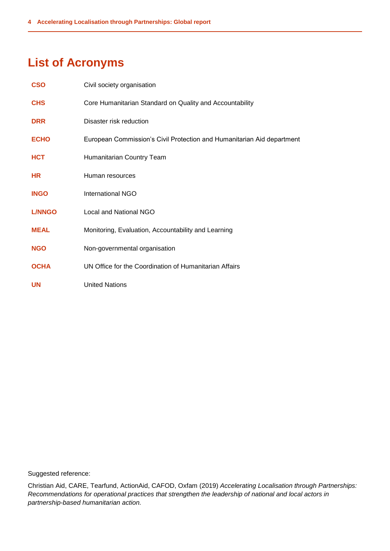# **List of Acronyms**

| <b>CSO</b>    | Civil society organisation                                             |
|---------------|------------------------------------------------------------------------|
| <b>CHS</b>    | Core Humanitarian Standard on Quality and Accountability               |
| <b>DRR</b>    | Disaster risk reduction                                                |
| <b>ECHO</b>   | European Commission's Civil Protection and Humanitarian Aid department |
| <b>HCT</b>    | Humanitarian Country Team                                              |
| HR            | Human resources                                                        |
| <b>INGO</b>   | <b>International NGO</b>                                               |
| <b>L/NNGO</b> | Local and National NGO                                                 |
| <b>MEAL</b>   | Monitoring, Evaluation, Accountability and Learning                    |
| <b>NGO</b>    | Non-governmental organisation                                          |
| <b>OCHA</b>   | UN Office for the Coordination of Humanitarian Affairs                 |
| UN            | <b>United Nations</b>                                                  |

Suggested reference:

Christian Aid, CARE, Tearfund, ActionAid, CAFOD, Oxfam (2019) *Accelerating Localisation through Partnerships: Recommendations for operational practices that strengthen the leadership of national and local actors in partnership-based humanitarian action.*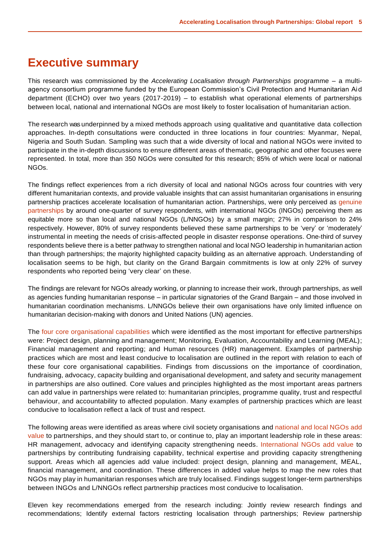## **Executive summary**

This research was commissioned by the *Accelerating Localisation through Partnerships* programme – a multiagency consortium programme funded by the European Commission's Civil Protection and Humanitarian Aid department (ECHO) over two years (2017-2019) – to establish what operational elements of partnerships between local, national and international NGOs are most likely to foster localisation of humanitarian action.

The research was underpinned by a mixed methods approach using qualitative and quantitative data collection approaches. In-depth consultations were conducted in three locations in four countries: Myanmar, Nepal, Nigeria and South Sudan. Sampling was such that a wide diversity of local and national NGOs were invited to participate in the in-depth discussions to ensure different areas of thematic, geographic and other focuses were represented. In total, more than 350 NGOs were consulted for this research; 85% of which were local or national NGOs.

The findings reflect experiences from a rich diversity of local and national NGOs across four countries with very different humanitarian contexts, and provide valuable insights that can assist humanitarian organisations in ensuring partnership practices accelerate localisation of humanitarian action. Partnerships, were only perceived as genuine partnerships by around one-quarter of survey respondents, with international NGOs (INGOs) perceiving them as equitable more so than local and national NGOs (L/NNGOs) by a small margin; 27% in comparison to 24% respectively. However, 80% of survey respondents believed these same partnerships to be 'very' or 'moderately' instrumental in meeting the needs of crisis-affected people in disaster response operations. One-third of survey respondents believe there is a better pathway to strengthen national and local NGO leadership in humanitarian action than through partnerships; the majority highlighted capacity building as an alternative approach. Understanding of localisation seems to be high, but clarity on the Grand Bargain commitments is low at only 22% of survey respondents who reported being 'very clear' on these.

The findings are relevant for NGOs already working, or planning to increase their work, through partnerships, as well as agencies funding humanitarian response – in particular signatories of the Grand Bargain – and those involved in humanitarian coordination mechanisms. L/NNGOs believe their own organisations have only limited influence on humanitarian decision-making with donors and United Nations (UN) agencies.

The four core organisational capabilities which were identified as the most important for effective partnerships were: Project design, planning and management; Monitoring, Evaluation, Accountability and Learning (MEAL); Financial management and reporting; and Human resources (HR) management. Examples of partnership practices which are most and least conducive to localisation are outlined in the report with relation to each of these four core organisational capabilities. Findings from discussions on the importance of coordination, fundraising, advocacy, capacity building and organisational development, and safety and security management in partnerships are also outlined. Core values and principles highlighted as the most important areas partners can add value in partnerships were related to: humanitarian principles, programme quality, trust and respectful behaviour, and accountability to affected population. Many examples of partnership practices which are least conducive to localisation reflect a lack of trust and respect.

The following areas were identified as areas where civil society organisations and national and local NGOs add value to partnerships, and they should start to, or continue to, play an important leadership role in these areas: HR management, advocacy and identifying capacity strengthening needs. International NGOs add value to partnerships by contributing fundraising capability, technical expertise and providing capacity strengthening support. Areas which all agencies add value included: project design, planning and management, MEAL, financial management, and coordination. These differences in added value helps to map the new roles that NGOs may play in humanitarian responses which are truly localised. Findings suggest longer-term partnerships between INGOs and L/NNGOs reflect partnership practices most conducive to localisation.

Eleven key recommendations emerged from the research including: Jointly review research findings and recommendations; Identify external factors restricting localisation through partnerships; Review partnership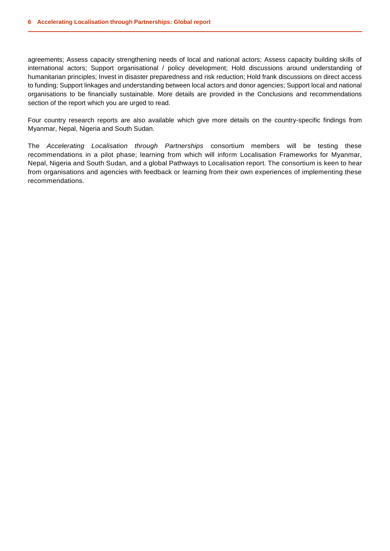agreements; Assess capacity strengthening needs of local and national actors; Assess capacity building skills of international actors; Support organisational / policy development; Hold discussions around understanding of humanitarian principles; Invest in disaster preparedness and risk reduction; Hold frank discussions on direct access to funding; Support linkages and understanding between local actors and donor agencies; Support local and national organisations to be financially sustainable. More details are provided in the Conclusions and recommendations section of the report which you are urged to read.

Four country research reports are also available which give more details on the country-specific findings from Myanmar, Nepal, Nigeria and South Sudan.

The *Accelerating Localisation through Partnerships* consortium members will be testing these recommendations in a pilot phase; learning from which will inform Localisation Frameworks for Myanmar, Nepal, Nigeria and South Sudan, and a global Pathways to Localisation report. The consortium is keen to hear from organisations and agencies with feedback or learning from their own experiences of implementing these recommendations.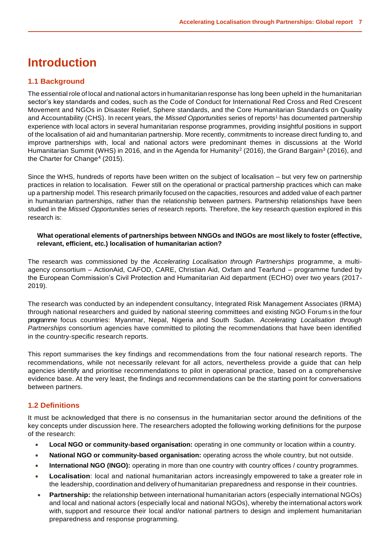## **Introduction**

#### **1.1 Background**

The essential role of local and national actors in humanitarian response has long been upheld in the humanitarian sector's key standards and codes, such as the Code of Conduct for International Red Cross and Red Crescent Movement and NGOs in Disaster Relief, Sphere standards, and the Core Humanitarian Standards on Quality and Accountability (CHS). In recent years, the *Missed Opportunities* series of reports<sup>1</sup> has documented partnership experience with local actors in several humanitarian response programmes, providing insightful positions in support of the localisation of aid and humanitarian partnership. More recently, commitments to increase direct funding to, and improve partnerships with, local and national actors were predominant themes in discussions at the World Humanitarian Summit (WHS) in 2016, and in the Agenda for Humanity<sup>2</sup> (2016), the Grand Bargain<sup>3</sup> (2016), and the Charter for Change<sup>4</sup> (2015).

Since the WHS, hundreds of reports have been written on the subject of localisation – but very few on partnership practices in relation to localisation. Fewer still on the operational or practical partnership practices which can make up a partnership model. This research primarily focused on the capacities, resources and added value of each partner in humanitarian partnerships, rather than the relationship between partners. Partnership relationships have been studied in the *Missed Opportunities* series of research reports. Therefore, the key research question explored in this research is:

#### **What operational elements of partnerships between NNGOs and INGOs are most likely to foster (effective, relevant, efficient, etc.) localisation of humanitarian action?**

The research was commissioned by the *Accelerating Localisation through Partnerships* programme, a multiagency consortium – ActionAid, CAFOD, CARE, Christian Aid, Oxfam and Tearfund – programme funded by the European Commission's Civil Protection and Humanitarian Aid department (ECHO) over two years (2017- 2019).

The research was conducted by an independent consultancy, Integrated Risk Management Associates (IRMA) through national researchers and guided by national steering committees and existing NGO Forums in the four programme focus countries: Myanmar, Nepal, Nigeria and South Sudan. *Accelerating Localisation through Partnerships* consortium agencies have committed to piloting the recommendations that have been identified in the country-specific research reports.

This report summarises the key findings and recommendations from the four national research reports. The recommendations, while not necessarily relevant for all actors, nevertheless provide a guide that can help agencies identify and prioritise recommendations to pilot in operational practice, based on a comprehensive evidence base. At the very least, the findings and recommendations can be the starting point for conversations between partners.

#### **1.2 Definitions**

It must be acknowledged that there is no consensus in the humanitarian sector around the definitions of the key concepts under discussion here. The researchers adopted the following working definitions for the purpose of the research:

- **Local NGO or community-based organisation:** operating in one community or location within a country.
- **National NGO or community-based organisation:** operating across the whole country, but not outside.
- **International NGO (INGO):** operating in more than one country with country offices / country programmes.
- **Localisation**: local and national humanitarian actors increasingly empowered to take a greater role in the leadership, coordination and delivery of humanitarian preparedness and response in their countries.
- **Partnership:** the relationship between international humanitarian actors (especially international NGOs) and local and national actors (especially local and national NGOs), whereby the international actors work with, support and resource their local and/or national partners to design and implement humanitarian preparedness and response programming.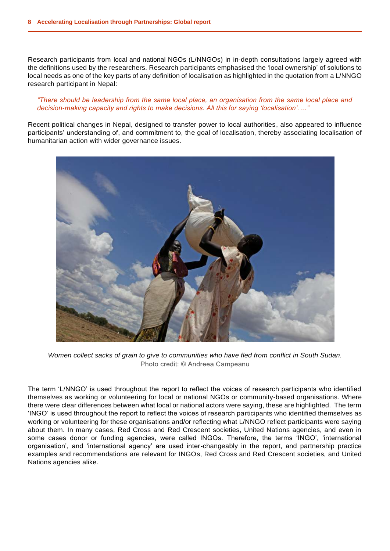Research participants from local and national NGOs (L/NNGOs) in in-depth consultations largely agreed with the definitions used by the researchers. Research participants emphasised the 'local ownership' of solutions to local needs as one of the key parts of any definition of localisation as highlighted in the quotation from a L/NNGO research participant in Nepal:

#### *"There should be leadership from the same local place, an organisation from the same local place and decision-making capacity and rights to make decisions. All this for saying 'localisation'. ..."*

Recent political changes in Nepal, designed to transfer power to local authorities, also appeared to influence participants' understanding of, and commitment to, the goal of localisation, thereby associating localisation of humanitarian action with wider governance issues.



*Women collect sacks of grain to give to communities who have fled from conflict in South Sudan.* Photo credit: © Andreea Campeanu

The term 'L/NNGO' is used throughout the report to reflect the voices of research participants who identified themselves as working or volunteering for local or national NGOs or community-based organisations. Where there were clear differences between what local or national actors were saying, these are highlighted. The term 'INGO' is used throughout the report to reflect the voices of research participants who identified themselves as working or volunteering for these organisations and/or reflecting what L/NNGO reflect participants were saying about them. In many cases, Red Cross and Red Crescent societies, United Nations agencies, and even in some cases donor or funding agencies, were called INGOs. Therefore, the terms 'INGO', 'international organisation', and 'international agency' are used inter-changeably in the report, and partnership practice examples and recommendations are relevant for INGOs, Red Cross and Red Crescent societies, and United Nations agencies alike.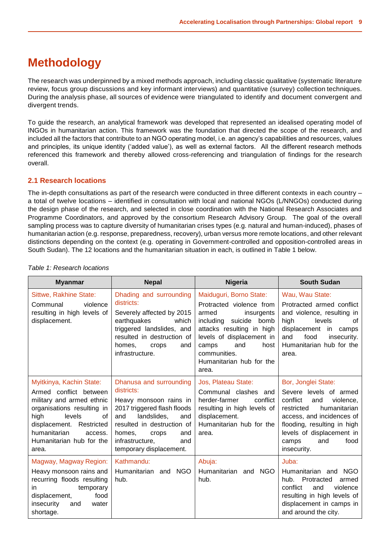## **Methodology**

The research was underpinned by a mixed methods approach, including classic qualitative (systematic literature review, focus group discussions and key informant interviews) and quantitative (survey) collection techniques. During the analysis phase, all sources of evidence were triangulated to identify and document convergent and divergent trends.

To guide the research, an analytical framework was developed that represented an idealised operating model of INGOs in humanitarian action. This framework was the foundation that directed the scope of the research, and included all the factors that contribute to an NGO operating model, i.e. an agency's capabilities and resources, values and principles, its unique identity ('added value'), as well as external factors. All the different research methods referenced this framework and thereby allowed cross-referencing and triangulation of findings for the research overall.

#### **2.1 Research locations**

The in-depth consultations as part of the research were conducted in three different contexts in each country – a total of twelve locations – identified in consultation with local and national NGOs (L/NNGOs) conducted during the design phase of the research, and selected in close coordination with the National Research Associates and Programme Coordinators, and approved by the consortium Research Advisory Group. The goal of the overall sampling process was to capture diversity of humanitarian crises types (e.g. natural and human-induced), phases of humanitarian action (e.g. response, preparedness, recovery), urban versus more remote locations, and other relevant distinctions depending on the context (e.g. operating in Government-controlled and opposition-controlled areas in South Sudan). The 12 locations and the humanitarian situation in each, is outlined in Table 1 below.

| <b>Myanmar</b>                                                                                                                                                                                                                       | <b>Nepal</b>                                                                                                                                                                                                                             | <b>Nigeria</b>                                                                                                                                                                                                                              | <b>South Sudan</b>                                                                                                                                                                                                                          |
|--------------------------------------------------------------------------------------------------------------------------------------------------------------------------------------------------------------------------------------|------------------------------------------------------------------------------------------------------------------------------------------------------------------------------------------------------------------------------------------|---------------------------------------------------------------------------------------------------------------------------------------------------------------------------------------------------------------------------------------------|---------------------------------------------------------------------------------------------------------------------------------------------------------------------------------------------------------------------------------------------|
| <b>Sittwe, Rakhine State:</b><br>Communal<br>violence<br>resulting in high levels of<br>displacement.                                                                                                                                | Dhading and surrounding<br>districts:<br>Severely affected by 2015<br>earthquakes<br>which<br>triggered landslides, and<br>resulted in destruction of<br>homes,<br>crops<br>and<br>infrastructure.                                       | Maiduguri, Borno State:<br>Protracted violence from<br>armed<br>insurgents<br>including suicide bomb<br>attacks resulting in high<br>levels of displacement in<br>and<br>host<br>camps<br>communities.<br>Humanitarian hub for the<br>area. | Wau, Wau State:<br>Protracted armed conflict<br>and violence, resulting in<br>high<br>levels<br>0f<br>displacement<br>in camps<br>food<br>and<br>insecurity.<br>Humanitarian hub for the<br>area.                                           |
| Myitkinya, Kachin State:<br>Armed conflict between<br>military and armed ethnic<br>organisations resulting in<br>levels<br>high<br>οf<br>displacement.<br>Restricted<br>humanitarian<br>access.<br>Humanitarian hub for the<br>area. | Dhanusa and surrounding<br>districts:<br>Heavy monsoon rains in<br>2017 triggered flash floods<br>landslides,<br>and<br>and<br>resulted in destruction of<br>homes.<br>and<br>crops<br>infrastructure,<br>and<br>temporary displacement. | Jos, Plateau State:<br>Communal clashes<br>and<br>herder-farmer<br>conflict<br>resulting in high levels of<br>displacement.<br>Humanitarian hub for the<br>area.                                                                            | Bor, Jonglei State:<br>Severe levels of armed<br>conflict<br>violence,<br>and<br>humanitarian<br>restricted<br>access, and incidences of<br>flooding, resulting in high<br>levels of displacement in<br>and<br>food<br>camps<br>insecurity. |
| Magway, Magway Region:<br>Heavy monsoon rains and<br>recurring floods resulting<br>temporary<br>in.<br>food<br>displacement,<br>insecurity<br>water<br>and<br>shortage.                                                              | Kathmandu:<br>Humanitarian and<br><b>NGO</b><br>hub.                                                                                                                                                                                     | Abuja:<br>Humanitarian and NGO<br>hub.                                                                                                                                                                                                      | Juba:<br>Humanitarian and NGO<br>Protracted<br>hub.<br>armed<br>conflict<br>violence<br>and<br>resulting in high levels of<br>displacement in camps in<br>and around the city.                                                              |

#### *Table 1: Research locations*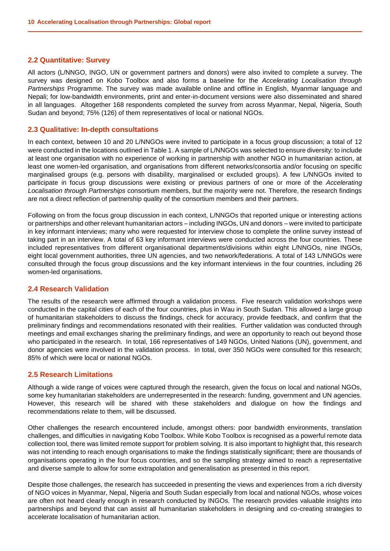#### **2.2 Quantitative: Survey**

All actors (L/NNGO, INGO, UN or government partners and donors) were also invited to complete a survey. The survey was designed on Kobo Toolbox and also forms a baseline for the *Accelerating Localisation through Partnerships* Programme. The survey was made available online and offline in English, Myanmar language and Nepali; for low-bandwidth environments, print and enter-in-document versions were also disseminated and shared in all languages. Altogether 168 respondents completed the survey from across Myanmar, Nepal, Nigeria, South Sudan and beyond; 75% (126) of them representatives of local or national NGOs.

#### **2.3 Qualitative: In-depth consultations**

In each context, between 10 and 20 L/NNGOs were invited to participate in a focus group discussion; a total of 12 were conducted in the locations outlined in Table 1. A sample of L/NNGOs was selected to ensure diversity: to include at least one organisation with no experience of working in partnership with another NGO in humanitarian action, at least one women-led organisation, and organisations from different networks/consortia and/or focusing on specific marginalised groups (e.g. persons with disability, marginalised or excluded groups). A few L/NNGOs invited to participate in focus group discussions were existing or previous partners of one or more of the *Accelerating Localisation through Partnerships* consortium members, but the majority were not. Therefore, the research findings are not a direct reflection of partnership quality of the consortium members and their partners.

Following on from the focus group discussion in each context, L/NNGOs that reported unique or interesting actions or partnerships and other relevant humanitarian actors – including INGOs, UN and donors – were invited to participate in key informant interviews; many who were requested for interview chose to complete the online survey instead of taking part in an interview. A total of 63 key informant interviews were conducted across the four countries. These included representatives from different organisational departments/divisions within eight L/NNGOs, nine INGOs, eight local government authorities, three UN agencies, and two network/federations. A total of 143 L/NNGOs were consulted through the focus group discussions and the key informant interviews in the four countries, including 26 women-led organisations.

#### **2.4 Research Validation**

The results of the research were affirmed through a validation process. Five research validation workshops were conducted in the capital cities of each of the four countries, plus in Wau in South Sudan. This allowed a large group of humanitarian stakeholders to discuss the findings, check for accuracy, provide feedback, and confirm that the preliminary findings and recommendations resonated with their realities. Further validation was conducted through meetings and email exchanges sharing the preliminary findings, and were an opportunity to reach out beyond those who participated in the research. In total, 166 representatives of 149 NGOs, United Nations (UN), government, and donor agencies were involved in the validation process. In total, over 350 NGOs were consulted for this research; 85% of which were local or national NGOs.

#### **2.5 Research Limitations**

Although a wide range of voices were captured through the research, given the focus on local and national NGOs, some key humanitarian stakeholders are underrepresented in the research: funding, government and UN agencies. However, this research will be shared with these stakeholders and dialogue on how the findings and recommendations relate to them, will be discussed.

Other challenges the research encountered include, amongst others: poor bandwidth environments, translation challenges, and difficulties in navigating Kobo Toolbox. While Kobo Toolbox is recognised as a powerful remote data collection tool, there was limited remote support for problem solving. It is also important to highlight that, this research was not intending to reach enough organisations to make the findings statistically significant; there are thousands of organisations operating in the four focus countries, and so the sampling strategy aimed to reach a representative and diverse sample to allow for some extrapolation and generalisation as presented in this report.

Despite those challenges, the research has succeeded in presenting the views and experiences from a rich diversity of NGO voices in Myanmar, Nepal, Nigeria and South Sudan especially from local and national NGOs, whose voices are often not heard clearly enough in research conducted by INGOs. The research provides valuable insights into partnerships and beyond that can assist all humanitarian stakeholders in designing and co-creating strategies to accelerate localisation of humanitarian action.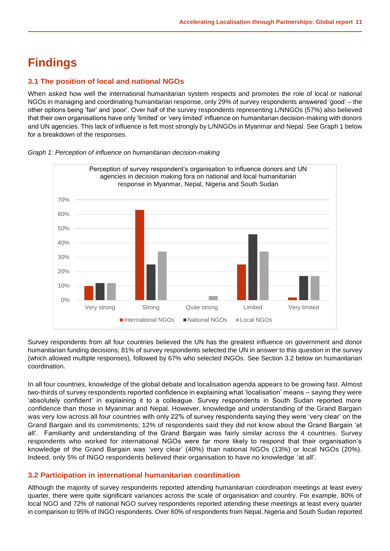# **Findings**

#### **3.1 The position of local and national NGOs**

When asked how well the international humanitarian system respects and promotes the role of local or national NGOs in managing and coordinating humanitarian response, only 29% of survey respondents answered 'good' – the other options being 'fair' and 'poor'. Over half of the survey respondents representing L/NNGOs (57%) also believed that their own organisations have only 'limited' or 'very limited' influence on humanitarian decision-making with donors and UN agencies. This lack of influence is felt most strongly by L/NNGOs in Myanmar and Nepal. See Graph 1 below for a breakdown of the responses.



*Graph 1: Perception of influence on humanitarian decision-making*

Survey respondents from all four countries believed the UN has the greatest influence on government and donor humanitarian funding decisions; 81% of survey respondents selected the UN in answer to this question in the survey (which allowed multiple responses), followed by 67% who selected INGOs. See Section 3.2 below on humanitarian coordination.

In all four countries, knowledge of the global debate and localisation agenda appears to be growing fast. Almost two-thirds of survey respondents reported confidence in explaining what 'localisation' means – saying they were 'absolutely confident' in explaining it to a colleague. Survey respondents in South Sudan reported more confidence than those in Myanmar and Nepal. However, knowledge and understanding of the Grand Bargain was very low across all four countries with only 22% of survey respondents saying they were 'very clear' on the Grand Bargain and its commitments; 12% of respondents said they did not know about the Grand Bargain 'at all'. Familiarity and understanding of the Grand Bargain was fairly similar across the 4 countries. Survey respondents who worked for international NGOs were far more likely to respond that their organisation's knowledge of the Grand Bargain was 'very clear' (40%) than national NGOs (13%) or local NGOs (20%). Indeed, only 5% of INGO respondents believed their organisation to have no knowledge 'at all'.

#### **3.2 Participation in international humanitarian coordination**

Although the majority of survey respondents reported attending humanitarian coordination meetings at least every quarter, there were quite significant variances across the scale of organisation and country. For example, 80% of local NGO and 72% of national NGO survey respondents reported attending these meetings at least every quarter in comparison to 95% of INGO respondents. Over 60% of respondents from Nepal, Nigeria and South Sudan reported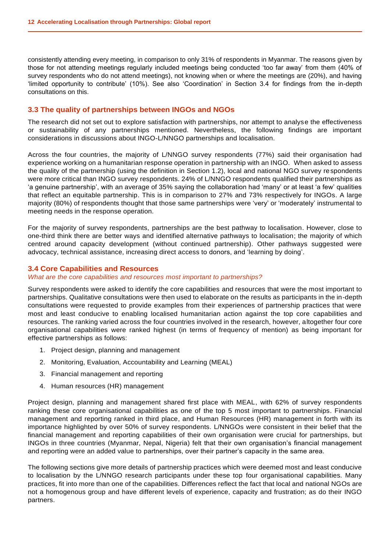consistently attending every meeting, in comparison to only 31% of respondents in Myanmar. The reasons given by those for not attending meetings regularly included meetings being conducted 'too far away' from them (40% of survey respondents who do not attend meetings), not knowing when or where the meetings are (20%), and having 'limited opportunity to contribute' (10%). See also 'Coordination' in Section 3.4 for findings from the in-depth consultations on this.

#### **3.3 The quality of partnerships between INGOs and NGOs**

The research did not set out to explore satisfaction with partnerships, nor attempt to analyse the effectiveness or sustainability of any partnerships mentioned. Nevertheless, the following findings are important considerations in discussions about INGO-L/NNGO partnerships and localisation.

Across the four countries, the majority of L/NNGO survey respondents (77%) said their organisation had experience working on a humanitarian response operation in partnership with an INGO. When asked to assess the quality of the partnership (using the definition in Section 1.2), local and national NGO survey respondents were more critical than INGO survey respondents. 24% of L/NNGO respondents qualified their partnerships as 'a genuine partnership', with an average of 35% saying the collaboration had 'many' or at least 'a few' qualities that reflect an equitable partnership. This is in comparison to 27% and 73% respectively for INGOs. A large majority (80%) of respondents thought that those same partnerships were 'very' or 'moderately' instrumental to meeting needs in the response operation.

For the majority of survey respondents, partnerships are the best pathway to localisation. However, close to one-third think there are better ways and identified alternative pathways to localisation; the majority of which centred around capacity development (without continued partnership). Other pathways suggested were advocacy, technical assistance, increasing direct access to donors, and 'learning by doing'.

#### **3.4 Core Capabilities and Resources**

#### *What are the core capabilities and resources most important to partnerships?*

Survey respondents were asked to identify the core capabilities and resources that were the most important to partnerships. Qualitative consultations were then used to elaborate on the results as participants in the in-depth consultations were requested to provide examples from their experiences of partnership practices that were most and least conducive to enabling localised humanitarian action against the top core capabilities and resources. The ranking varied across the four countries involved in the research, however, altogether four core organisational capabilities were ranked highest (in terms of frequency of mention) as being important for effective partnerships as follows:

- 1. Project design, planning and management
- 2. Monitoring, Evaluation, Accountability and Learning (MEAL)
- 3. Financial management and reporting
- 4. Human resources (HR) management

Project design, planning and management shared first place with MEAL, with 62% of survey respondents ranking these core organisational capabilities as one of the top 5 most important to partnerships. Financial management and reporting ranked in third place, and Human Resources (HR) management in forth with its importance highlighted by over 50% of survey respondents. L/NNGOs were consistent in their belief that the financial management and reporting capabilities of their own organisation were crucial for partnerships, but INGOs in three countries (Myanmar, Nepal, Nigeria) felt that their own organisation's financial management and reporting were an added value to partnerships, over their partner's capacity in the same area.

The following sections give more details of partnership practices which were deemed most and least conducive to localisation by the L/NNGO research participants under these top four organisational capabilities. Many practices, fit into more than one of the capabilities. Differences reflect the fact that local and national NGOs are not a homogenous group and have different levels of experience, capacity and frustration; as do their INGO partners.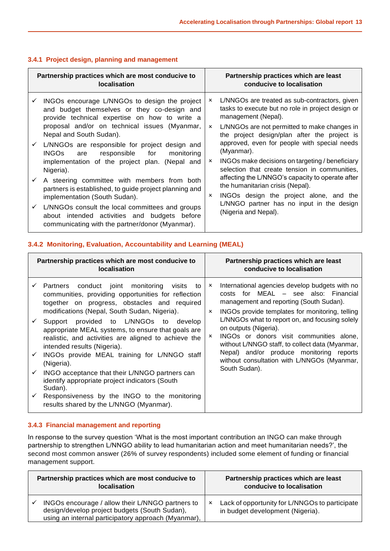| Partnership practices which are most conducive to<br><b>localisation</b> |                                                                                                                                                                                                                                                                                                                                                                                                        | Partnership practices which are least<br>conducive to localisation |                                                                                                                                              |
|--------------------------------------------------------------------------|--------------------------------------------------------------------------------------------------------------------------------------------------------------------------------------------------------------------------------------------------------------------------------------------------------------------------------------------------------------------------------------------------------|--------------------------------------------------------------------|----------------------------------------------------------------------------------------------------------------------------------------------|
|                                                                          | INGOs encourage L/NNGOs to design the project<br>and budget themselves or they co-design and<br>provide technical expertise on how to write a                                                                                                                                                                                                                                                          | ×                                                                  | L/NNGOs are treated as sub-contractors, given<br>tasks to execute but no role in project design or<br>management (Nepal).                    |
|                                                                          | proposal and/or on technical issues (Myanmar,<br>Nepal and South Sudan).<br>L/NNGOs are responsible for project design and<br><b>INGOs</b><br>responsible<br>for<br>monitoring<br>are<br>implementation of the project plan.<br>(Nepal and<br>Nigeria).<br>A steering committee with members from both<br>partners is established, to guide project planning and<br>x<br>implementation (South Sudan). | $\boldsymbol{\mathsf{x}}$                                          | L/NNGOs are not permitted to make changes in<br>the project design/plan after the project is<br>approved, even for people with special needs |
| $\checkmark$                                                             |                                                                                                                                                                                                                                                                                                                                                                                                        |                                                                    | (Myanmar).                                                                                                                                   |
|                                                                          |                                                                                                                                                                                                                                                                                                                                                                                                        | $\boldsymbol{\mathsf{x}}$                                          | INGOs make decisions on targeting / beneficiary<br>selection that create tension in communities,                                             |
| ✓                                                                        |                                                                                                                                                                                                                                                                                                                                                                                                        |                                                                    | affecting the L/NNGO's capacity to operate after<br>the humanitarian crisis (Nepal).                                                         |
|                                                                          |                                                                                                                                                                                                                                                                                                                                                                                                        |                                                                    | INGOs design the project alone, and the                                                                                                      |
| ✓                                                                        | L/NNGOs consult the local committees and groups<br>about intended activities and budgets before<br>communicating with the partner/donor (Myanmar).                                                                                                                                                                                                                                                     |                                                                    | L/NNGO partner has no input in the design<br>(Nigeria and Nepal).                                                                            |

#### **3.4.1 Project design, planning and management**

#### **3.4.2 Monitoring, Evaluation, Accountability and Learning (MEAL)**

| Partnership practices which are most conducive to                                                                                                                                                                                                                                                                                                                                                                                                                                                                                                                                                                                                                                                       | Partnership practices which are least                                                                                                                                                                                                                                                                                                                                                                                                                                                                                                     |
|---------------------------------------------------------------------------------------------------------------------------------------------------------------------------------------------------------------------------------------------------------------------------------------------------------------------------------------------------------------------------------------------------------------------------------------------------------------------------------------------------------------------------------------------------------------------------------------------------------------------------------------------------------------------------------------------------------|-------------------------------------------------------------------------------------------------------------------------------------------------------------------------------------------------------------------------------------------------------------------------------------------------------------------------------------------------------------------------------------------------------------------------------------------------------------------------------------------------------------------------------------------|
| <b>localisation</b>                                                                                                                                                                                                                                                                                                                                                                                                                                                                                                                                                                                                                                                                                     | conducive to localisation                                                                                                                                                                                                                                                                                                                                                                                                                                                                                                                 |
| Partners conduct joint monitoring<br>visits to<br>communities, providing opportunities for reflection<br>together on progress, obstacles and required<br>modifications (Nepal, South Sudan, Nigeria).<br>provided to L/NNGOs to develop<br>Support<br>appropriate MEAL systems, to ensure that goals are<br>realistic, and activities are aligned to achieve the<br>intended results (Nigeria).<br>INGOs provide MEAL training for L/NNGO staff<br>$\checkmark$<br>(Nigeria).<br>INGO acceptance that their L/NNGO partners can<br>$\checkmark$<br>identify appropriate project indicators (South<br>Sudan).<br>Responsiveness by the INGO to the monitoring<br>results shared by the L/NNGO (Myanmar). | International agencies develop budgets with no<br>x<br>costs for MEAL – see also: Financial<br>management and reporting (South Sudan).<br>INGOs provide templates for monitoring, telling<br>$\boldsymbol{\mathsf{x}}$<br>L/NNGOs what to report on, and focusing solely<br>on outputs (Nigeria).<br>INGOs or donors visit communities alone,<br>$\boldsymbol{\mathsf{x}}$<br>without L/NNGO staff, to collect data (Myanmar,<br>Nepal) and/or produce monitoring reports<br>without consultation with L/NNGOs (Myanmar,<br>South Sudan). |

#### **3.4.3 Financial management and reporting**

 $\mathbf{r}$ 

In response to the survey question 'What is the most important contribution an INGO can make through partnership to strengthen L/NNGO ability to lead humanitarian action and meet humanitarian needs?', the second most common answer (26% of survey respondents) included some element of funding or financial management support.

| Partnership practices which are most conducive to<br><b>localisation</b>                                                                                 |                           | Partnership practices which are least<br>conducive to localisation                 |
|----------------------------------------------------------------------------------------------------------------------------------------------------------|---------------------------|------------------------------------------------------------------------------------|
| INGOs encourage / allow their L/NNGO partners to<br>design/develop project budgets (South Sudan),<br>using an internal participatory approach (Myanmar), | $\boldsymbol{\mathsf{x}}$ | Lack of opportunity for L/NNGOs to participate<br>in budget development (Nigeria). |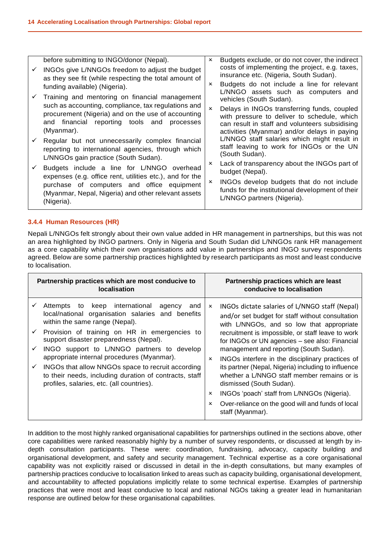| before submitting to INGO/donor (Nepal).<br>INGOs give L/NNGOs freedom to adjust the budget<br>as they see fit (while respecting the total amount of<br>funding available) (Nigeria).<br>Training and mentoring on financial management<br>such as accounting, compliance, tax regulations and<br>procurement (Nigeria) and on the use of accounting<br>and financial reporting tools and<br>processes<br>(Myanmar).<br>Regular but not unnecessarily complex financial<br>reporting to international agencies, through which<br>L/NNGOs gain practice (South Sudan).<br>Budgets include a line for L/NNGO overhead<br>expenses (e.g. office rent, utilities etc.), and for the<br>purchase of computers and office equipment<br>(Myanmar, Nepal, Nigeria) and other relevant assets<br>(Nigeria). | Budgets exclude, or do not cover, the indirect<br>×<br>costs of implementing the project, e.g. taxes,<br>insurance etc. (Nigeria, South Sudan).<br>Budgets do not include a line for relevant<br>$\boldsymbol{\mathsf{x}}$<br>L/NNGO assets such as computers and<br>vehicles (South Sudan).<br>$\mathbf{x}$<br>Delays in INGOs transferring funds, coupled<br>with pressure to deliver to schedule, which<br>can result in staff and volunteers subsidising<br>activities (Myanmar) and/or delays in paying<br>L/NNGO staff salaries which might result in<br>staff leaving to work for INGOs or the UN<br>(South Sudan).<br>Lack of transparency about the INGOs part of<br>x.<br>budget (Nepal).<br>INGOs develop budgets that do not include<br>x<br>funds for the institutional development of their<br>L/NNGO partners (Nigeria). |
|----------------------------------------------------------------------------------------------------------------------------------------------------------------------------------------------------------------------------------------------------------------------------------------------------------------------------------------------------------------------------------------------------------------------------------------------------------------------------------------------------------------------------------------------------------------------------------------------------------------------------------------------------------------------------------------------------------------------------------------------------------------------------------------------------|-----------------------------------------------------------------------------------------------------------------------------------------------------------------------------------------------------------------------------------------------------------------------------------------------------------------------------------------------------------------------------------------------------------------------------------------------------------------------------------------------------------------------------------------------------------------------------------------------------------------------------------------------------------------------------------------------------------------------------------------------------------------------------------------------------------------------------------------|

#### **3.4.4 Human Resources (HR)**

Nepali L/NNGOs felt strongly about their own value added in HR management in partnerships, but this was not an area highlighted by INGO partners. Only in Nigeria and South Sudan did L/NNGOs rank HR management as a core capability which their own organisations add value in partnerships and INGO survey respondents agreed. Below are some partnership practices highlighted by research participants as most and least conducive to localisation.

| Partnership practices which are most conducive to<br><b>localisation</b> |                                                                                                                                                                                                                                                                                                                                                                                                                                                                                                 |                                                                                     | Partnership practices which are least<br>conducive to localisation                                                                                                                                                                                                                                                                                                                                                                                                                                                                     |
|--------------------------------------------------------------------------|-------------------------------------------------------------------------------------------------------------------------------------------------------------------------------------------------------------------------------------------------------------------------------------------------------------------------------------------------------------------------------------------------------------------------------------------------------------------------------------------------|-------------------------------------------------------------------------------------|----------------------------------------------------------------------------------------------------------------------------------------------------------------------------------------------------------------------------------------------------------------------------------------------------------------------------------------------------------------------------------------------------------------------------------------------------------------------------------------------------------------------------------------|
| ✓                                                                        | international<br>Attempts to<br>keep<br>agency<br>and<br>local/national organisation salaries and benefits<br>within the same range (Nepal).<br>Provision of training on HR in emergencies to<br>support disaster preparedness (Nepal).<br>INGO support to L/NNGO partners to develop<br>appropriate internal procedures (Myanmar).<br>INGOs that allow NNGOs space to recruit according<br>to their needs, including duration of contracts, staff<br>profiles, salaries, etc. (all countries). | $\boldsymbol{\mathsf{x}}$<br>$\boldsymbol{\mathsf{x}}$<br>$\boldsymbol{\mathsf{x}}$ | INGOs dictate salaries of L/NNGO staff (Nepal)<br>and/or set budget for staff without consultation<br>with L/NNGOs, and so low that appropriate<br>recruitment is impossible, or staff leave to work<br>for INGOs or UN agencies - see also: Financial<br>management and reporting (South Sudan).<br>INGOs interfere in the disciplinary practices of<br>its partner (Nepal, Nigeria) including to influence<br>whether a L/NNGO staff member remains or is<br>dismissed (South Sudan).<br>INGOs 'poach' staff from L/NNGOs (Nigeria). |
|                                                                          |                                                                                                                                                                                                                                                                                                                                                                                                                                                                                                 | x                                                                                   | Over-reliance on the good will and funds of local<br>staff (Myanmar).                                                                                                                                                                                                                                                                                                                                                                                                                                                                  |

In addition to the most highly ranked organisational capabilities for partnerships outlined in the sections above, other core capabilities were ranked reasonably highly by a number of survey respondents, or discussed at length by indepth consultation participants. These were: coordination, fundraising, advocacy, capacity building and organisational development, and safety and security management. Technical expertise as a core organisational capability was not explicitly raised or discussed in detail in the in-depth consultations, but many examples of partnership practices conducive to localisation linked to areas such as capacity building, organisational development, and accountability to affected populations implicitly relate to some technical expertise. Examples of partnership practices that were most and least conducive to local and national NGOs taking a greater lead in humanitarian response are outlined below for these organisational capabilities.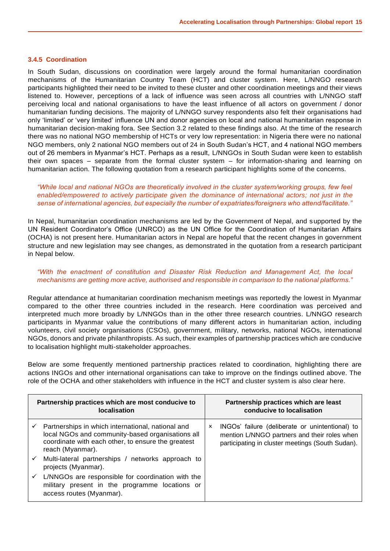#### **3.4.5 Coordination**

In South Sudan, discussions on coordination were largely around the formal humanitarian coordination mechanisms of the Humanitarian Country Team (HCT) and cluster system. Here, L/NNGO research participants highlighted their need to be invited to these cluster and other coordination meetings and their views listened to. However, perceptions of a lack of influence was seen across all countries with L/NNGO staff perceiving local and national organisations to have the least influence of all actors on government / donor humanitarian funding decisions. The majority of L/NNGO survey respondents also felt their organisations had only 'limited' or 'very limited' influence UN and donor agencies on local and national humanitarian response in humanitarian decision-making fora. See Section 3.2 related to these findings also. At the time of the research there was no national NGO membership of HCTs or very low representation: in Nigeria there were no national NGO members, only 2 national NGO members out of 24 in South Sudan's HCT, and 4 national NGO members out of 26 members in Myanmar's HCT. Perhaps as a result, L/NNGOs in South Sudan were keen to establish their own spaces – separate from the formal cluster system – for information-sharing and learning on humanitarian action. The following quotation from a research participant highlights some of the concerns.

*"While local and national NGOs are theoretically involved in the cluster system/working groups, few feel enabled/empowered to actively participate given the dominance of international actors; not just in the sense of international agencies, but especially the number of expatriates/foreigners who attend/facilitate."* 

In Nepal, humanitarian coordination mechanisms are led by the Government of Nepal, and supported by the UN Resident Coordinator's Office (UNRCO) as the UN Office for the Coordination of Humanitarian Affairs (OCHA) is not present here. Humanitarian actors in Nepal are hopeful that the recent changes in government structure and new legislation may see changes, as demonstrated in the quotation from a research participant in Nepal below.

#### *"With the enactment of constitution and Disaster Risk Reduction and Management Act, the local mechanisms are getting more active, authorised and responsible in comparison to the national platforms."*

Regular attendance at humanitarian coordination mechanism meetings was reportedly the lowest in Myanmar compared to the other three countries included in the research. Here coordination was perceived and interpreted much more broadly by L/NNGOs than in the other three research countries. L/NNGO research participants in Myanmar value the contributions of many different actors in humanitarian action, including volunteers, civil society organisations (CSOs), government, military, networks, national NGOs, international NGOs, donors and private philanthropists. As such, their examples of partnership practices which are conducive to localisation highlight multi-stakeholder approaches.

Below are some frequently mentioned partnership practices related to coordination, highlighting there are actions INGOs and other international organisations can take to improve on the findings outlined above. The role of the OCHA and other stakeholders with influence in the HCT and cluster system is also clear here.

| Partnership practices which are most conducive to<br><b>localisation</b>                                                                                                        |   | Partnership practices which are least<br>conducive to localisation                                                                                  |
|---------------------------------------------------------------------------------------------------------------------------------------------------------------------------------|---|-----------------------------------------------------------------------------------------------------------------------------------------------------|
| Partnerships in which international, national and<br>local NGOs and community-based organisations all<br>coordinate with each other, to ensure the greatest<br>reach (Myanmar). | x | INGOs' failure (deliberate or unintentional) to<br>mention L/NNGO partners and their roles when<br>participating in cluster meetings (South Sudan). |
| Multi-lateral partnerships / networks approach to<br>projects (Myanmar).                                                                                                        |   |                                                                                                                                                     |
| L/NNGOs are responsible for coordination with the<br>military present in the programme locations or<br>access routes (Myanmar).                                                 |   |                                                                                                                                                     |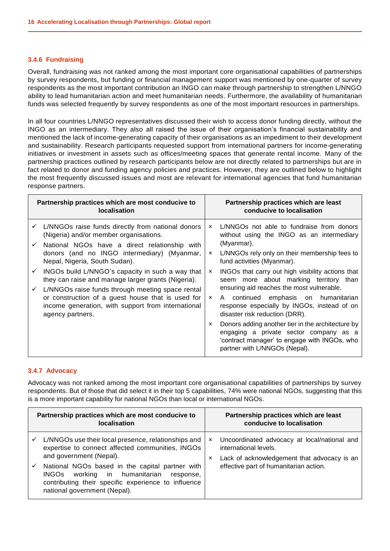#### **3.4.6 Fundraising**

Overall, fundraising was not ranked among the most important core organisational capabilities of partnerships by survey respondents, but funding or financial management support was mentioned by one-quarter of survey respondents as the most important contribution an INGO can make through partnership to strengthen L/NNGO ability to lead humanitarian action and meet humanitarian needs. Furthermore, the availability of humanitarian funds was selected frequently by survey respondents as one of the most important resources in partnerships.

In all four countries L/NNGO representatives discussed their wish to access donor funding directly, without the INGO as an intermediary. They also all raised the issue of their organisation's financial sustainability and mentioned the lack of income-generating capacity of their organisations as an impediment to their development and sustainability. Research participants requested support from international partners for income-generating initiatives or investment in assets such as offices/meeting spaces that generate rental income. Many of the partnership practices outlined by research participants below are not directly related to partnerships but are in fact related to donor and funding agency policies and practices. However, they are outlined below to highlight the most frequently discussed issues and most are relevant for international agencies that fund humanitarian response partners.

| Partnership practices which are most conducive to                                                                                                                                                                                                                                                                                                                                                                                                                                                                                                                                   | Partnership practices which are least                                                                                                                                                                                                                                                                                                                                                                                                                                                                                                                                                                                                                                                                             |
|-------------------------------------------------------------------------------------------------------------------------------------------------------------------------------------------------------------------------------------------------------------------------------------------------------------------------------------------------------------------------------------------------------------------------------------------------------------------------------------------------------------------------------------------------------------------------------------|-------------------------------------------------------------------------------------------------------------------------------------------------------------------------------------------------------------------------------------------------------------------------------------------------------------------------------------------------------------------------------------------------------------------------------------------------------------------------------------------------------------------------------------------------------------------------------------------------------------------------------------------------------------------------------------------------------------------|
| <b>localisation</b>                                                                                                                                                                                                                                                                                                                                                                                                                                                                                                                                                                 | conducive to localisation                                                                                                                                                                                                                                                                                                                                                                                                                                                                                                                                                                                                                                                                                         |
| $\checkmark$ L/NNGOs raise funds directly from national donors<br>(Nigeria) and/or member organisations.<br>$\checkmark$ National NGOs have a direct relationship with<br>donors (and no INGO intermediary) (Myanmar,<br>Nepal, Nigeria, South Sudan).<br>INGOs build L/NNGO's capacity in such a way that<br>$\checkmark$<br>they can raise and manage larger grants (Nigeria).<br>L/NNGOs raise funds through meeting space rental<br>$\checkmark$<br>or construction of a guest house that is used for<br>income generation, with support from international<br>agency partners. | L/NNGOs not able to fundraise from donors<br>$\boldsymbol{\mathsf{x}}$<br>without using the INGO as an intermediary<br>(Myanmar).<br>L/NNGOs rely only on their membership fees to<br>×<br>fund activities (Myanmar).<br>INGOs that carry out high visibility actions that<br>×<br>seem more about marking territory than<br>ensuring aid reaches the most vulnerable.<br>A continued emphasis on humanitarian<br>$\boldsymbol{\mathsf{x}}$<br>response especially by INGOs, instead of on<br>disaster risk reduction (DRR).<br>Donors adding another tier in the architecture by<br>x<br>engaging a private sector company as a<br>'contract manager' to engage with INGOs, who<br>partner with L/NNGOs (Nepal). |

#### **3.4.7 Advocacy**

Advocacy was not ranked among the most important core organisational capabilities of partnerships by survey respondents. But of those that did select it in their top 5 capabilities, 74% were national NGOs, suggesting that this is a more important capability for national NGOs than local or international NGOs.

| Partnership practices which are most conducive to                                                                                                                                                                                                                                                                             | Partnership practices which are least                                                                                                                                                            |
|-------------------------------------------------------------------------------------------------------------------------------------------------------------------------------------------------------------------------------------------------------------------------------------------------------------------------------|--------------------------------------------------------------------------------------------------------------------------------------------------------------------------------------------------|
| <b>localisation</b>                                                                                                                                                                                                                                                                                                           | conducive to localisation                                                                                                                                                                        |
| L/NNGOs use their local presence, relationships and<br>expertise to connect affected communities, INGOs<br>and government (Nepal).<br>National NGOs based in the capital partner with<br>working in humanitarian<br>INGOs<br>response,<br>contributing their specific experience to influence<br>national government (Nepal). | Uncoordinated advocacy at local/national and<br>$\boldsymbol{\mathsf{x}}$<br>international levels.<br>Lack of acknowledgement that advocacy is an<br>x<br>effective part of humanitarian action. |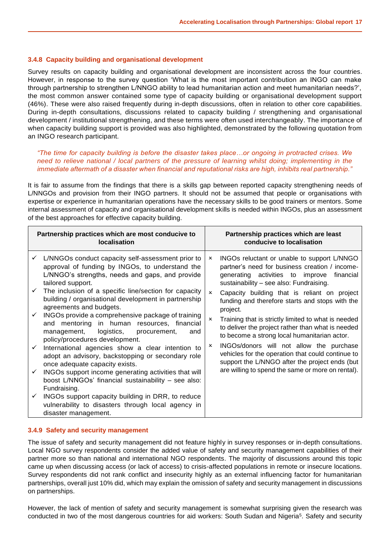#### **3.4.8 Capacity building and organisational development**

Survey results on capacity building and organisational development are inconsistent across the four countries. However, in response to the survey question 'What is the most important contribution an INGO can make through partnership to strengthen L/NNGO ability to lead humanitarian action and meet humanitarian needs?', the most common answer contained some type of capacity building or organisational development support (46%). These were also raised frequently during in-depth discussions, often in relation to other core capabilities. During in-depth consultations, discussions related to capacity building / strengthening and organisational development / institutional strengthening, and these terms were often used interchangeably. The importance of when capacity building support is provided was also highlighted, demonstrated by the following quotation from an INGO research participant.

*"The time for capacity building is before the disaster takes place…or ongoing in protracted crises. We need to relieve national / local partners of the pressure of learning whilst doing; implementing in the immediate aftermath of a disaster when financial and reputational risks are high, inhibits real partnership."*

It is fair to assume from the findings that there is a skills gap between reported capacity strengthening needs of L/NNGOs and provision from their INGO partners. It should not be assumed that people or organisations with expertise or experience in humanitarian operations have the necessary skills to be good trainers or mentors. Some internal assessment of capacity and organisational development skills is needed within INGOs, plus an assessment of the best approaches for effective capacity building.

| L/NNGOs conduct capacity self-assessment prior to<br>$\boldsymbol{\mathsf{x}}$<br>approval of funding by INGOs, to understand the<br>L/NNGO's strengths, needs and gaps, and provide<br>generating activities to improve<br>sustainability - see also: Fundraising.<br>tailored support.<br>The inclusion of a specific line/section for capacity<br>$\mathbf{x}$<br>building / organisational development in partnership<br>agreements and budgets.<br>project.<br>INGOs provide a comprehensive package of training<br>$\boldsymbol{\mathsf{x}}$<br>and mentoring in human resources, financial<br>logistics,<br>management,<br>procurement,<br>and<br>policy/procedures development.<br>$\boldsymbol{\mathsf{x}}$<br>International agencies show a clear intention to<br>$\checkmark$<br>adopt an advisory, backstopping or secondary role<br>once adequate capacity exists.<br>INGOs support income generating activities that will<br>boost L/NNGOs' financial sustainability - see also: | Partnership practices which are most conducive to<br><b>localisation</b> |  | Partnership practices which are least<br>conducive to localisation                                                                                                                                                                                                                                                                                                                                                                                                                                                                                                                |
|------------------------------------------------------------------------------------------------------------------------------------------------------------------------------------------------------------------------------------------------------------------------------------------------------------------------------------------------------------------------------------------------------------------------------------------------------------------------------------------------------------------------------------------------------------------------------------------------------------------------------------------------------------------------------------------------------------------------------------------------------------------------------------------------------------------------------------------------------------------------------------------------------------------------------------------------------------------------------------------------|--------------------------------------------------------------------------|--|-----------------------------------------------------------------------------------------------------------------------------------------------------------------------------------------------------------------------------------------------------------------------------------------------------------------------------------------------------------------------------------------------------------------------------------------------------------------------------------------------------------------------------------------------------------------------------------|
| INGOs support capacity building in DRR, to reduce<br>vulnerability to disasters through local agency in<br>disaster management.                                                                                                                                                                                                                                                                                                                                                                                                                                                                                                                                                                                                                                                                                                                                                                                                                                                                | Fundraising.                                                             |  | INGOs reluctant or unable to support L/NNGO<br>partner's need for business creation / income-<br>financial<br>Capacity building that is reliant on project<br>funding and therefore starts and stops with the<br>Training that is strictly limited to what is needed<br>to deliver the project rather than what is needed<br>to become a strong local humanitarian actor.<br>INGOs/donors will not allow the purchase<br>vehicles for the operation that could continue to<br>support the L/NNGO after the project ends (but<br>are willing to spend the same or more on rental). |

#### **3.4.9 Safety and security management**

The issue of safety and security management did not feature highly in survey responses or in-depth consultations. Local NGO survey respondents consider the added value of safety and security management capabilities of their partner more so than national and international NGO respondents. The majority of discussions around this topic came up when discussing access (or lack of access) to crisis-affected populations in remote or insecure locations. Survey respondents did not rank conflict and insecurity highly as an external influencing factor for humanitarian partnerships, overall just 10% did, which may explain the omission of safety and security management in discussions on partnerships.

However, the lack of mention of safety and security management is somewhat surprising given the research was conducted in two of the most dangerous countries for aid workers: South Sudan and Nigeria<sup>5</sup>. Safety and security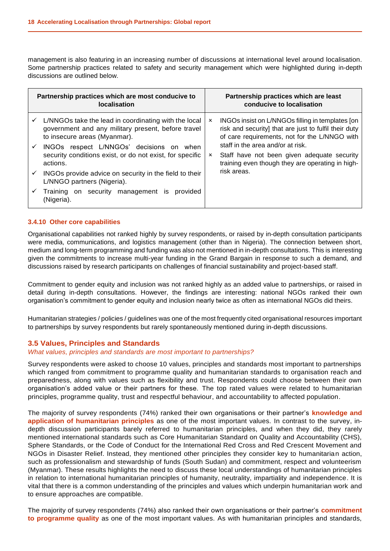management is also featuring in an increasing number of discussions at international level around localisation. Some partnership practices related to safety and security management which were highlighted during in-depth discussions are outlined below.

| Partnership practices which are most conducive to<br><b>localisation</b>                                                                                | Partnership practices which are least<br>conducive to localisation |                                                                                                                                                            |  |  |
|---------------------------------------------------------------------------------------------------------------------------------------------------------|--------------------------------------------------------------------|------------------------------------------------------------------------------------------------------------------------------------------------------------|--|--|
| $\checkmark$ L/NNGOs take the lead in coordinating with the local<br>government and any military present, before travel<br>to insecure areas (Myanmar). | $\boldsymbol{\mathsf{x}}$                                          | INGOs insist on L/NNGOs filling in templates [on<br>risk and security] that are just to fulfil their duty<br>of care requirements, not for the L/NNGO with |  |  |
| INGOs respect L/NNGOs' decisions on when<br>security conditions exist, or do not exist, for specific<br>actions.                                        | $\boldsymbol{\mathsf{x}}$                                          | staff in the area and/or at risk.                                                                                                                          |  |  |
|                                                                                                                                                         |                                                                    | Staff have not been given adequate security<br>training even though they are operating in high-                                                            |  |  |
| INGOs provide advice on security in the field to their<br>L/NNGO partners (Nigeria).                                                                    |                                                                    | risk areas.                                                                                                                                                |  |  |
| Training on security management is<br>provided<br>(Nigeria).                                                                                            |                                                                    |                                                                                                                                                            |  |  |

#### **3.4.10 Other core capabilities**

Organisational capabilities not ranked highly by survey respondents, or raised by in-depth consultation participants were media, communications, and logistics management (other than in Nigeria). The connection between short, medium and long-term programming and funding was also not mentioned in in-depth consultations. This is interesting given the commitments to increase multi-year funding in the Grand Bargain in response to such a demand, and discussions raised by research participants on challenges of financial sustainability and project-based staff.

Commitment to gender equity and inclusion was not ranked highly as an added value to partnerships, or raised in detail during in-depth consultations. However, the findings are interesting: national NGOs ranked their own organisation's commitment to gender equity and inclusion nearly twice as often as international NGOs did theirs.

Humanitarian strategies / policies / guidelines was one of the most frequently cited organisational resources important to partnerships by survey respondents but rarely spontaneously mentioned during in-depth discussions.

#### **3.5 Values, Principles and Standards**

*What values, principles and standards are most important to partnerships?* 

Survey respondents were asked to choose 10 values, principles and standards most important to partnerships which ranged from commitment to programme quality and humanitarian standards to organisation reach and preparedness, along with values such as flexibility and trust. Respondents could choose between their own organisation's added value or their partners for these. The top rated values were related to humanitarian principles, programme quality, trust and respectful behaviour, and accountability to affected population.

The majority of survey respondents (74%) ranked their own organisations or their partner's **knowledge and application of humanitarian principles** as one of the most important values. In contrast to the survey, indepth discussion participants barely referred to humanitarian principles, and when they did, they rarely mentioned international standards such as Core Humanitarian Standard on Quality and Accountability (CHS), Sphere Standards, or the Code of Conduct for the International Red Cross and Red Crescent Movement and NGOs in Disaster Relief. Instead, they mentioned other principles they consider key to humanitarian action, such as professionalism and stewardship of funds (South Sudan) and commitment, respect and volunteerism (Myanmar). These results highlights the need to discuss these local understandings of humanitarian principles in relation to international humanitarian principles of humanity, neutrality, impartiality and independence. It is vital that there is a common understanding of the principles and values which underpin humanitarian work and to ensure approaches are compatible.

The majority of survey respondents (74%) also ranked their own organisations or their partner's **commitment to programme quality** as one of the most important values. As with humanitarian principles and standards,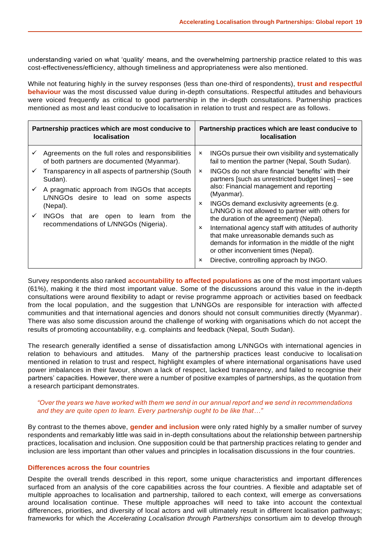understanding varied on what 'quality' means, and the overwhelming partnership practice related to this was cost-effectiveness/efficiency, although timeliness and appropriateness were also mentioned.

While not featuring highly in the survey responses (less than one-third of respondents), **trust and respectful behaviour** was the most discussed value during in-depth consultations. Respectful attitudes and behaviours were voiced frequently as critical to good partnership in the in-depth consultations. Partnership practices mentioned as most and least conducive to localisation in relation to trust and respect are as follows.

| Partnership practices which are most conducive to                                                                                                                                                                                                                                                                                                                        | Partnership practices which are least conducive to                                                                                                                                                                                                                                                                                                                                                                                                                                                                                                                                                                                                                                                                                                 |  |  |  |
|--------------------------------------------------------------------------------------------------------------------------------------------------------------------------------------------------------------------------------------------------------------------------------------------------------------------------------------------------------------------------|----------------------------------------------------------------------------------------------------------------------------------------------------------------------------------------------------------------------------------------------------------------------------------------------------------------------------------------------------------------------------------------------------------------------------------------------------------------------------------------------------------------------------------------------------------------------------------------------------------------------------------------------------------------------------------------------------------------------------------------------------|--|--|--|
| <b>localisation</b>                                                                                                                                                                                                                                                                                                                                                      | <b>localisation</b>                                                                                                                                                                                                                                                                                                                                                                                                                                                                                                                                                                                                                                                                                                                                |  |  |  |
| Agreements on the full roles and responsibilities<br>of both partners are documented (Myanmar).<br>Transparency in all aspects of partnership (South<br>Sudan).<br>A pragmatic approach from INGOs that accepts<br>L/NNGOs desire to lead on some aspects<br>(Nepal).<br>INGOs that are open<br>learn<br>the<br>to<br>trom<br>✓<br>recommendations of L/NNGOs (Nigeria). | INGOs pursue their own visibility and systematically<br>$\pmb{\times}$<br>fail to mention the partner (Nepal, South Sudan).<br>INGOs do not share financial 'benefits' with their<br>$\mathbf{x}$<br>partners [such as unrestricted budget lines] – see<br>also: Financial management and reporting<br>(Myanmar).<br>INGOs demand exclusivity agreements (e.g.<br>$\boldsymbol{\mathsf{x}}$<br>L/NNGO is not allowed to partner with others for<br>the duration of the agreement) (Nepal).<br>International agency staff with attitudes of authority<br>x<br>that make unreasonable demands such as<br>demands for information in the middle of the night<br>or other inconvenient times (Nepal).<br>Directive, controlling approach by INGO.<br>× |  |  |  |

Survey respondents also ranked **accountability to affected populations** as one of the most important values (61%), making it the third most important value. Some of the discussions around this value in the in-depth consultations were around flexibility to adapt or revise programme approach or activities based on feedback from the local population, and the suggestion that L/NNGOs are responsible for interaction with affected communities and that international agencies and donors should not consult communities directly (Myanmar). There was also some discussion around the challenge of working with organisations which do not accept the results of promoting accountability, e.g. complaints and feedback (Nepal, South Sudan).

The research generally identified a sense of dissatisfaction among L/NNGOs with international agencies in relation to behaviours and attitudes. Many of the partnership practices least conducive to localisation mentioned in relation to trust and respect, highlight examples of where international organisations have used power imbalances in their favour, shown a lack of respect, lacked transparency, and failed to recognise their partners' capacities. However, there were a number of positive examples of partnerships, as the quotation from a research participant demonstrates.

#### *"Over the years we have worked with them we send in our annual report and we send in recommendations and they are quite open to learn. Every partnership ought to be like that…"*

By contrast to the themes above, **gender and inclusion** were only rated highly by a smaller number of survey respondents and remarkably little was said in in-depth consultations about the relationship between partnership practices, localisation and inclusion. One supposition could be that partnership practices relating to gender and inclusion are less important than other values and principles in localisation discussions in the four countries.

#### **Differences across the four countries**

Despite the overall trends described in this report, some unique characteristics and important differences surfaced from an analysis of the core capabilities across the four countries. A flexible and adaptable set of multiple approaches to localisation and partnership, tailored to each context, will emerge as conversations around localisation continue. These multiple approaches will need to take into account the contextual differences, priorities, and diversity of local actors and will ultimately result in different localisation pathways; frameworks for which the *Accelerating Localisation through Partnerships* consortium aim to develop through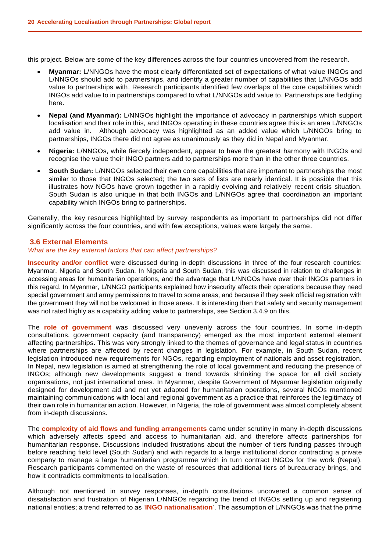this project. Below are some of the key differences across the four countries uncovered from the research.

- **Myanmar:** L/NNGOs have the most clearly differentiated set of expectations of what value INGOs and L/NNGOs should add to partnerships, and identify a greater number of capabilities that L/NNGOs add value to partnerships with. Research participants identified few overlaps of the core capabilities which INGOs add value to in partnerships compared to what L/NNGOs add value to. Partnerships are fledgling here.
- **Nepal (and Myanmar):** L/NNGOs highlight the importance of advocacy in partnerships which support localisation and their role in this, and INGOs operating in these countries agree this is an area L/NNGOs add value in. Although advocacy was highlighted as an added value which L/NNGOs bring to partnerships, INGOs there did not agree as unanimously as they did in Nepal and Myanmar.
- **Nigeria:** L/NNGOs, while fiercely independent, appear to have the greatest harmony with INGOs and recognise the value their INGO partners add to partnerships more than in the other three countries.
- **South Sudan:** L/NNGOs selected their own core capabilities that are important to partnerships the most similar to those that INGOs selected; the two sets of lists are nearly identical. It is possible that this illustrates how NGOs have grown together in a rapidly evolving and relatively recent crisis situation. South Sudan is also unique in that both INGOs and L/NNGOs agree that coordination an important capability which INGOs bring to partnerships.

Generally, the key resources highlighted by survey respondents as important to partnerships did not differ significantly across the four countries, and with few exceptions, values were largely the same.

#### **3.6 External Elements**

#### *What are the key external factors that can affect partnerships?*

**Insecurity and/or conflict** were discussed during in-depth discussions in three of the four research countries: Myanmar, Nigeria and South Sudan. In Nigeria and South Sudan, this was discussed in relation to challenges in accessing areas for humanitarian operations, and the advantage that L/NNGOs have over their INGOs partners in this regard. In Myanmar, L/NNGO participants explained how insecurity affects their operations because they need special government and army permissions to travel to some areas, and because if they seek official registration with the government they will not be welcomed in those areas. It is interesting then that safety and security management was not rated highly as a capability adding value to partnerships, see Section 3.4.9 on this.

The **role of government** was discussed very unevenly across the four countries. In some in-depth consultations, government capacity (and transparency) emerged as the most important external element affecting partnerships. This was very strongly linked to the themes of governance and legal status in countries where partnerships are affected by recent changes in legislation. For example, in South Sudan, recent legislation introduced new requirements for NGOs, regarding employment of nationals and asset registration. In Nepal, new legislation is aimed at strengthening the role of local government and reducing the presence of INGOs; although new developments suggest a trend towards shrinking the space for all civil society organisations, not just international ones. In Myanmar, despite Government of Myanmar legislation originally designed for development aid and not yet adapted for humanitarian operations, several NGOs mentioned maintaining communications with local and regional government as a practice that reinforces the legitimacy of their own role in humanitarian action. However, in Nigeria, the role of government was almost completely absent from in-depth discussions.

The **complexity of aid flows and funding arrangements** came under scrutiny in many in-depth discussions which adversely affects speed and access to humanitarian aid, and therefore affects partnerships for humanitarian response. Discussions included frustrations about the number of tiers funding passes through before reaching field level (South Sudan) and with regards to a large institutional donor contracting a private company to manage a large humanitarian programme which in turn contract INGOs for the work (Nepal). Research participants commented on the waste of resources that additional tiers of bureaucracy brings, and how it contradicts commitments to localisation.

Although not mentioned in survey responses, in-depth consultations uncovered a common sense of dissatisfaction and frustration of Nigerian L/NNGOs regarding the trend of INGOs setting up and registering national entities; a trend referred to as '**INGO nationalisation**'. The assumption of L/NNGOs was that the prime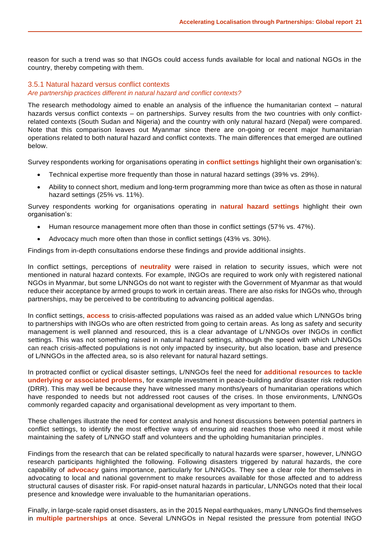reason for such a trend was so that INGOs could access funds available for local and national NGOs in the country, thereby competing with them.

#### 3.5.1 Natural hazard versus conflict contexts

#### *Are partnership practices different in natural hazard and conflict contexts?*

The research methodology aimed to enable an analysis of the influence the humanitarian context – natural hazards versus conflict contexts – on partnerships. Survey results from the two countries with only conflictrelated contexts (South Sudan and Nigeria) and the country with only natural hazard (Nepal) were compared. Note that this comparison leaves out Myanmar since there are on-going or recent major humanitarian operations related to both natural hazard and conflict contexts. The main differences that emerged are outlined below.

Survey respondents working for organisations operating in **conflict settings** highlight their own organisation's:

- Technical expertise more frequently than those in natural hazard settings (39% vs. 29%).
- Ability to connect short, medium and long-term programming more than twice as often as those in natural hazard settings (25% vs. 11%).

Survey respondents working for organisations operating in **natural hazard settings** highlight their own organisation's:

- Human resource management more often than those in conflict settings (57% vs. 47%).
- Advocacy much more often than those in conflict settings (43% vs. 30%).

Findings from in-depth consultations endorse these findings and provide additional insights.

In conflict settings, perceptions of **neutrality** were raised in relation to security issues, which were not mentioned in natural hazard contexts. For example, INGOs are required to work only with registered national NGOs in Myanmar, but some L/NNGOs do not want to register with the Government of Myanmar as that would reduce their acceptance by armed groups to work in certain areas. There are also risks for INGOs who, through partnerships, may be perceived to be contributing to advancing political agendas.

In conflict settings, **access** to crisis-affected populations was raised as an added value which L/NNGOs bring to partnerships with INGOs who are often restricted from going to certain areas. As long as safety and security management is well planned and resourced, this is a clear advantage of L/NNGOs over INGOs in conflict settings. This was not something raised in natural hazard settings, although the speed with which L/NNGOs can reach crisis-affected populations is not only impacted by insecurity, but also location, base and presence of L/NNGOs in the affected area, so is also relevant for natural hazard settings.

In protracted conflict or cyclical disaster settings, L/NNGOs feel the need for **additional resources to tackle underlying or associated problems**, for example investment in peace-building and/or disaster risk reduction (DRR). This may well be because they have witnessed many months/years of humanitarian operations which have responded to needs but not addressed root causes of the crises. In those environments, L/NNGOs commonly regarded capacity and organisational development as very important to them.

These challenges illustrate the need for context analysis and honest discussions between potential partners in conflict settings, to identify the most effective ways of ensuring aid reaches those who need it most while maintaining the safety of L/NNGO staff and volunteers and the upholding humanitarian principles.

Findings from the research that can be related specifically to natural hazards were sparser, however, L/NNGO research participants highlighted the following. Following disasters triggered by natural hazards, the core capability of **advocacy** gains importance, particularly for L/NNGOs. They see a clear role for themselves in advocating to local and national government to make resources available for those affected and to address structural causes of disaster risk. For rapid-onset natural hazards in particular, L/NNGOs noted that their local presence and knowledge were invaluable to the humanitarian operations.

Finally, in large-scale rapid onset disasters, as in the 2015 Nepal earthquakes, many L/NNGOs find themselves in **multiple partnerships** at once. Several L/NNGOs in Nepal resisted the pressure from potential INGO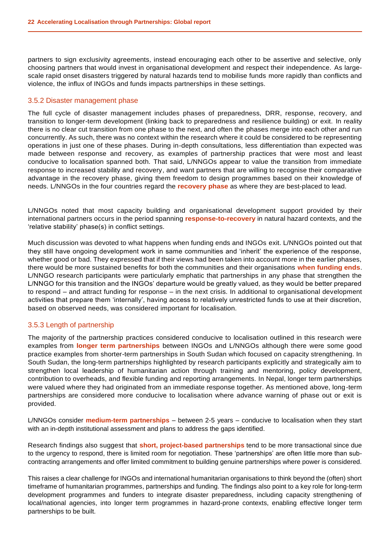partners to sign exclusivity agreements, instead encouraging each other to be assertive and selective, only choosing partners that would invest in organisational development and respect their independence. As largescale rapid onset disasters triggered by natural hazards tend to mobilise funds more rapidly than conflicts and violence, the influx of INGOs and funds impacts partnerships in these settings.

#### 3.5.2 Disaster management phase

The full cycle of disaster management includes phases of preparedness, DRR, response, recovery, and transition to longer-term development (linking back to preparedness and resilience building) or exit. In reality there is no clear cut transition from one phase to the next, and often the phases merge into each other and run concurrently. As such, there was no context within the research where it could be considered to be representing operations in just one of these phases. During in-depth consultations, less differentiation than expected was made between response and recovery, as examples of partnership practices that were most and least conducive to localisation spanned both. That said, L/NNGOs appear to value the transition from immediate response to increased stability and recovery, and want partners that are willing to recognise their comparative advantage in the recovery phase, giving them freedom to design programmes based on their knowledge of needs. L/NNGOs in the four countries regard the **recovery phase** as where they are best-placed to lead.

L/NNGOs noted that most capacity building and organisational development support provided by their international partners occurs in the period spanning **response-to-recovery** in natural hazard contexts, and the 'relative stability' phase(s) in conflict settings.

Much discussion was devoted to what happens when funding ends and INGOs exit. L/NNGOs pointed out that they still have ongoing development work in same communities and 'inherit' the experience of the response, whether good or bad. They expressed that if their views had been taken into account more in the earlier phases, there would be more sustained benefits for both the communities and their organisations **when funding ends**. L/NNGO research participants were particularly emphatic that partnerships in any phase that strengthen the L/NNGO for this transition and the INGOs' departure would be greatly valued, as they would be better prepared to respond – and attract funding for response – in the next crisis. In additional to organisational development activities that prepare them 'internally', having access to relatively unrestricted funds to use at their discretion, based on observed needs, was considered important for localisation.

#### 3.5.3 Length of partnership

The majority of the partnership practices considered conducive to localisation outlined in this research were examples from **longer term partnerships** between INGOs and L/NNGOs although there were some good practice examples from shorter-term partnerships in South Sudan which focused on capacity strengthening. In South Sudan, the long-term partnerships highlighted by research participants explicitly and strategically aim to strengthen local leadership of humanitarian action through training and mentoring, policy development, contribution to overheads, and flexible funding and reporting arrangements. In Nepal, longer term partnerships were valued where they had originated from an immediate response together. As mentioned above, long-term partnerships are considered more conducive to localisation where advance warning of phase out or exit is provided.

L/NNGOs consider **medium-term partnerships** – between 2-5 years – conducive to localisation when they start with an in-depth institutional assessment and plans to address the gaps identified.

Research findings also suggest that **short, project-based partnerships** tend to be more transactional since due to the urgency to respond, there is limited room for negotiation. These 'partnerships' are often little more than subcontracting arrangements and offer limited commitment to building genuine partnerships where power is considered.

This raises a clear challenge for INGOs and international humanitarian organisations to think beyond the (often) short timeframe of humanitarian programmes, partnerships and funding. The findings also point to a key role for long-term development programmes and funders to integrate disaster preparedness, including capacity strengthening of local/national agencies, into longer term programmes in hazard-prone contexts, enabling effective longer term partnerships to be built.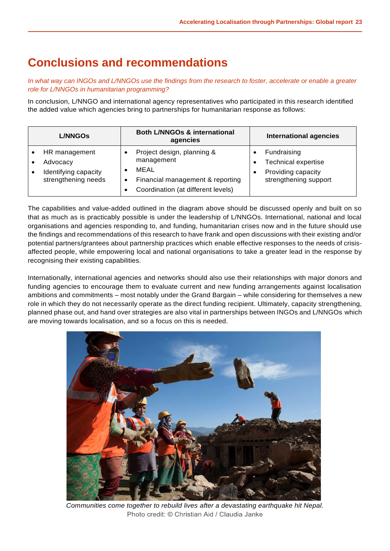# **Conclusions and recommendations**

*In what way can INGOs and L/NNGOs use the findings from the research to foster, accelerate or enable a greater role for L/NNGOs in humanitarian programming?* 

In conclusion, L/NNGO and international agency representatives who participated in this research identified the added value which agencies bring to partnerships for humanitarian response as follows:

| <b>L/NNGOs</b> |                                                                          | <b>Both L/NNGOs &amp; international</b><br>agencies                                                                        | <b>International agencies</b>                                                            |  |  |
|----------------|--------------------------------------------------------------------------|----------------------------------------------------------------------------------------------------------------------------|------------------------------------------------------------------------------------------|--|--|
|                | HR management<br>Advocacy<br>Identifying capacity<br>strengthening needs | Project design, planning &<br>management<br>MEAL<br>Financial management & reporting<br>Coordination (at different levels) | Fundraising<br><b>Technical expertise</b><br>Providing capacity<br>strengthening support |  |  |

The capabilities and value-added outlined in the diagram above should be discussed openly and built on so that as much as is practicably possible is under the leadership of L/NNGOs. International, national and local organisations and agencies responding to, and funding, humanitarian crises now and in the future should use the findings and recommendations of this research to have frank and open discussions with their existing and/or potential partners/grantees about partnership practices which enable effective responses to the needs of crisisaffected people, while empowering local and national organisations to take a greater lead in the response by recognising their existing capabilities.

Internationally, international agencies and networks should also use their relationships with major donors and funding agencies to encourage them to evaluate current and new funding arrangements against localisation ambitions and commitments – most notably under the Grand Bargain – while considering for themselves a new role in which they do not necessarily operate as the direct funding recipient. Ultimately, capacity strengthening, planned phase out, and hand over strategies are also vital in partnerships between INGOs and L/NNGOs which are moving towards localisation, and so a focus on this is needed.



*Communities come together to rebuild lives after a devastating earthquake hit Nepal.*Photo credit: © Christian Aid / Claudia Janke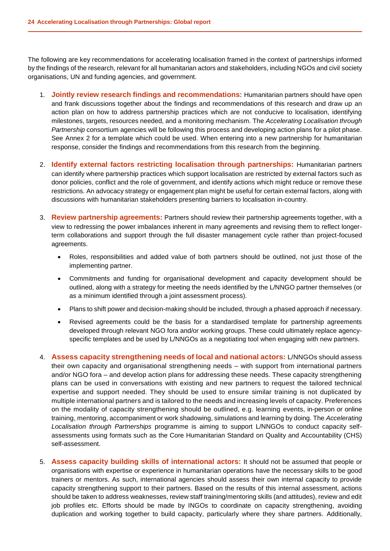The following are key recommendations for accelerating localisation framed in the context of partnerships informed by the findings of the research, relevant for all humanitarian actors and stakeholders, including NGOs and civil society organisations, UN and funding agencies, and government.

- 1. **Jointly review research findings and recommendations:** Humanitarian partners should have open and frank discussions together about the findings and recommendations of this research and draw up an action plan on how to address partnership practices which are not conducive to localisation, identifying milestones, targets, resources needed, and a monitoring mechanism. The *Accelerating Localisation through Partnership* consortium agencies will be following this process and developing action plans for a pilot phase. See Annex 2 for a template which could be used. When entering into a new partnership for humanitarian response, consider the findings and recommendations from this research from the beginning.
- 2. **Identify external factors restricting localisation through partnerships:** Humanitarian partners can identify where partnership practices which support localisation are restricted by external factors such as donor policies, conflict and the role of government, and identify actions which might reduce or remove these restrictions. An advocacy strategy or engagement plan might be useful for certain external factors, along with discussions with humanitarian stakeholders presenting barriers to localisation in-country.
- 3. **Review partnership agreements:** Partners should review their partnership agreements together, with a view to redressing the power imbalances inherent in many agreements and revising them to reflect longerterm collaborations and support through the full disaster management cycle rather than project-focused agreements.
	- Roles, responsibilities and added value of both partners should be outlined, not just those of the implementing partner.
	- Commitments and funding for organisational development and capacity development should be outlined, along with a strategy for meeting the needs identified by the L/NNGO partner themselves (or as a minimum identified through a joint assessment process).
	- Plans to shift power and decision-making should be included, through a phased approach if necessary.
	- Revised agreements could be the basis for a standardised template for partnership agreements developed through relevant NGO fora and/or working groups. These could ultimately replace agencyspecific templates and be used by L/NNGOs as a negotiating tool when engaging with new partners.
- 4. **Assess capacity strengthening needs of local and national actors:** L/NNGOs should assess their own capacity and organisational strengthening needs – with support from international partners and/or NGO fora – and develop action plans for addressing these needs. These capacity strengthening plans can be used in conversations with existing and new partners to request the tailored technical expertise and support needed. They should be used to ensure similar training is not duplicated by multiple international partners and is tailored to the needs and increasing levels of capacity. Preferences on the modality of capacity strengthening should be outlined, e.g. learning events, in-person or online training, mentoring, accompaniment or work shadowing, simulations and learning by doing. The *Accelerating Localisation through Partnerships* programme is aiming to support L/NNGOs to conduct capacity selfassessments using formats such as the Core Humanitarian Standard on Quality and Accountability (CHS) self-assessment.
- 5. **Assess capacity building skills of international actors:** It should not be assumed that people or organisations with expertise or experience in humanitarian operations have the necessary skills to be good trainers or mentors. As such, international agencies should assess their own internal capacity to provide capacity strengthening support to their partners. Based on the results of this internal assessment, actions should be taken to address weaknesses, review staff training/mentoring skills (and attitudes), review and edit job profiles etc. Efforts should be made by INGOs to coordinate on capacity strengthening, avoiding duplication and working together to build capacity, particularly where they share partners. Additionally,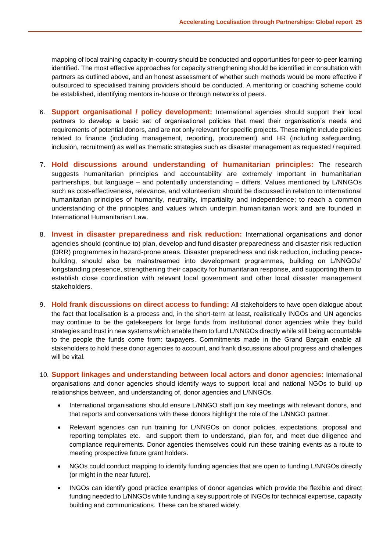mapping of local training capacity in-country should be conducted and opportunities for peer-to-peer learning identified. The most effective approaches for capacity strengthening should be identified in consultation with partners as outlined above, and an honest assessment of whether such methods would be more effective if outsourced to specialised training providers should be conducted. A mentoring or coaching scheme could be established, identifying mentors in-house or through networks of peers.

- 6. **Support organisational / policy development:** International agencies should support their local partners to develop a basic set of organisational policies that meet their organisation's needs and requirements of potential donors, and are not only relevant for specific projects. These might include policies related to finance (including management, reporting, procurement) and HR (including safeguarding, inclusion, recruitment) as well as thematic strategies such as disaster management as requested / required.
- 7. **Hold discussions around understanding of humanitarian principles:** The research suggests humanitarian principles and accountability are extremely important in humanitarian partnerships, but language – and potentially understanding – differs. Values mentioned by L/NNGOs such as cost-effectiveness, relevance, and volunteerism should be discussed in relation to international humanitarian principles of humanity, neutrality, impartiality and independence; to reach a common understanding of the principles and values which underpin humanitarian work and are founded in International Humanitarian Law.
- 8. **Invest in disaster preparedness and risk reduction:** International organisations and donor agencies should (continue to) plan, develop and fund disaster preparedness and disaster risk reduction (DRR) programmes in hazard-prone areas. Disaster preparedness and risk reduction, including peacebuilding, should also be mainstreamed into development programmes, building on L/NNGOs' longstanding presence, strengthening their capacity for humanitarian response, and supporting them to establish close coordination with relevant local government and other local disaster management stakeholders.
- 9. **Hold frank discussions on direct access to funding:** All stakeholders to have open dialogue about the fact that localisation is a process and, in the short-term at least, realistically INGOs and UN agencies may continue to be the gatekeepers for large funds from institutional donor agencies while they build strategies and trust in new systems which enable them to fund L/NNGOs directly while still being accountable to the people the funds come from: taxpayers. Commitments made in the Grand Bargain enable all stakeholders to hold these donor agencies to account, and frank discussions about progress and challenges will be vital.
- 10. **Support linkages and understanding between local actors and donor agencies:** International organisations and donor agencies should identify ways to support local and national NGOs to build up relationships between, and understanding of, donor agencies and L/NNGOs.
	- International organisations should ensure L/NNGO staff join key meetings with relevant donors, and that reports and conversations with these donors highlight the role of the L/NNGO partner.
	- Relevant agencies can run training for L/NNGOs on donor policies, expectations, proposal and reporting templates etc. and support them to understand, plan for, and meet due diligence and compliance requirements. Donor agencies themselves could run these training events as a route to meeting prospective future grant holders.
	- NGOs could conduct mapping to identify funding agencies that are open to funding L/NNGOs directly (or might in the near future).
	- INGOs can identify good practice examples of donor agencies which provide the flexible and direct funding needed to L/NNGOs while funding a key support role of INGOs for technical expertise, capacity building and communications. These can be shared widely.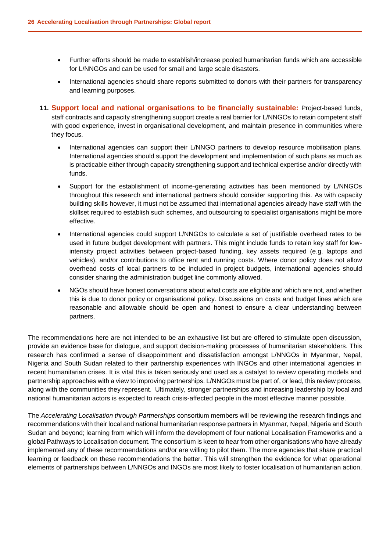- Further efforts should be made to establish/increase pooled humanitarian funds which are accessible for L/NNGOs and can be used for small and large scale disasters.
- International agencies should share reports submitted to donors with their partners for transparency and learning purposes.
- **11. Support local and national organisations to be financially sustainable:** Project-based funds, staff contracts and capacity strengthening support create a real barrier for L/NNGOs to retain competent staff with good experience, invest in organisational development, and maintain presence in communities where they focus.
	- International agencies can support their L/NNGO partners to develop resource mobilisation plans. International agencies should support the development and implementation of such plans as much as is practicable either through capacity strengthening support and technical expertise and/or directly with funds.
	- Support for the establishment of income-generating activities has been mentioned by L/NNGOs throughout this research and international partners should consider supporting this. As with capacity building skills however, it must not be assumed that international agencies already have staff with the skillset required to establish such schemes, and outsourcing to specialist organisations might be more effective.
	- International agencies could support L/NNGOs to calculate a set of justifiable overhead rates to be used in future budget development with partners. This might include funds to retain key staff for lowintensity project activities between project-based funding, key assets required (e.g. laptops and vehicles), and/or contributions to office rent and running costs. Where donor policy does not allow overhead costs of local partners to be included in project budgets, international agencies should consider sharing the administration budget line commonly allowed.
	- NGOs should have honest conversations about what costs are eligible and which are not, and whether this is due to donor policy or organisational policy. Discussions on costs and budget lines which are reasonable and allowable should be open and honest to ensure a clear understanding between partners.

The recommendations here are not intended to be an exhaustive list but are offered to stimulate open discussion, provide an evidence base for dialogue, and support decision-making processes of humanitarian stakeholders. This research has confirmed a sense of disappointment and dissatisfaction amongst L/NNGOs in Myanmar, Nepal, Nigeria and South Sudan related to their partnership experiences with INGOs and other international agencies in recent humanitarian crises. It is vital this is taken seriously and used as a catalyst to review operating models and partnership approaches with a view to improving partnerships. L/NNGOs must be part of, or lead, this review process, along with the communities they represent. Ultimately, stronger partnerships and increasing leadership by local and national humanitarian actors is expected to reach crisis-affected people in the most effective manner possible.

The *Accelerating Localisation through Partnerships* consortium members will be reviewing the research findings and recommendations with their local and national humanitarian response partners in Myanmar, Nepal, Nigeria and South Sudan and beyond; learning from which will inform the development of four national Localisation Frameworks and a global Pathways to Localisation document. The consortium is keen to hear from other organisations who have already implemented any of these recommendations and/or are willing to pilot them. The more agencies that share practical learning or feedback on these recommendations the better. This will strengthen the evidence for what operational elements of partnerships between L/NNGOs and INGOs are most likely to foster localisation of humanitarian action.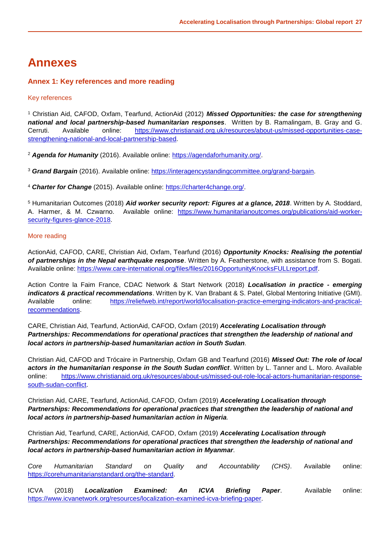## **Annexes**

#### **Annex 1: Key references and more reading**

#### Key references

<sup>1</sup> Christian Aid, CAFOD, Oxfam, Tearfund, ActionAid (2012) *Missed Opportunities: the case for strengthening national and local partnership-based humanitarian responses*. Written by B. Ramalingam, B. Gray and G. Cerruti. Available online: [https://www.christianaid.org.uk/resources/about-us/missed-opportunities-case](https://www.christianaid.org.uk/resources/about-us/missed-opportunities-case-strengthening-national-and-local-partnership-based)[strengthening-national-and-local-partnership-based.](https://www.christianaid.org.uk/resources/about-us/missed-opportunities-case-strengthening-national-and-local-partnership-based)

<sup>2</sup> *Agenda for Humanity* (2016). Available online: [https://agendaforhumanity.org/.](https://agendaforhumanity.org/)

<sup>3</sup> *Grand Bargain* (2016). Available online: [https://interagencystandingcommittee.org/grand-bargain.](https://interagencystandingcommittee.org/grand-bargain)

<sup>4</sup> *Charter for Change* (2015). Available online: [https://charter4change.org/.](https://charter4change.org/)

<sup>5</sup> Humanitarian Outcomes (2018) *Aid worker security report: Figures at a glance, 2018*. Written by A. Stoddard, A. Harmer, & M. Czwarno. Available online: [https://www.humanitarianoutcomes.org/publications/aid-worker](https://www.humanitarianoutcomes.org/publications/aid-worker-security-figures-glance-2018)[security-figures-glance-2018.](https://www.humanitarianoutcomes.org/publications/aid-worker-security-figures-glance-2018)

#### More reading

ActionAid, CAFOD, CARE, Christian Aid, Oxfam, Tearfund (2016) *Opportunity Knocks: Realising the potential of partnerships in the Nepal earthquake response*. Written by A. Featherstone, with assistance from S. Bogati. Available online: [https://www.care-international.org/files/files/2016OpportunityKnocksFULLreport.pdf.](https://www.care-international.org/files/files/2016OpportunityKnocksFULLreport.pdf)

Action Contre la Faim France, CDAC Network & Start Network (2018) *Localisation in practice - emerging indicators & practical recommendations*. Written by K. Van Brabant & S. Patel, Global Mentoring Initiative (GMI). Available online: [https://reliefweb.int/report/world/localisation-practice-emerging-indicators-and-practical](https://reliefweb.int/report/world/localisation-practice-emerging-indicators-and-practical-recommendations)[recommendations.](https://reliefweb.int/report/world/localisation-practice-emerging-indicators-and-practical-recommendations)

CARE, Christian Aid, Tearfund, ActionAid, CAFOD, Oxfam (2019) *Accelerating Localisation through Partnerships: Recommendations for operational practices that strengthen the leadership of national and local actors in partnership-based humanitarian action in South Sudan.*

Christian Aid, CAFOD and Trócaire in Partnership, Oxfam GB and Tearfund (2016) *Missed Out: The role of local actors in the humanitarian response in the South Sudan conflict*. Written by L. Tanner and L. Moro. Available online: [https://www.christianaid.org.uk/resources/about-us/missed-out-role-local-actors-humanitarian-response](https://www.christianaid.org.uk/resources/about-us/missed-out-role-local-actors-humanitarian-response-south-sudan-conflict)[south-sudan-conflict.](https://www.christianaid.org.uk/resources/about-us/missed-out-role-local-actors-humanitarian-response-south-sudan-conflict)

Christian Aid, CARE, Tearfund, ActionAid, CAFOD, Oxfam (2019) *Accelerating Localisation through Partnerships: Recommendations for operational practices that strengthen the leadership of national and local actors in partnership-based humanitarian action in Nigeria.*

Christian Aid, Tearfund, CARE, ActionAid, CAFOD, Oxfam (2019) *Accelerating Localisation through Partnerships: Recommendations for operational practices that strengthen the leadership of national and local actors in partnership-based humanitarian action in Myanmar*.

*Core Humanitarian Standard on Quality and Accountability (CHS)*. Available online: [https://corehumanitarianstandard.org/the-standard.](https://corehumanitarianstandard.org/the-standard)

ICVA (2018) *Localization Examined: An ICVA Briefing Paper*. Available online: [https://www.icvanetwork.org/resources/localization-examined-icva-briefing-paper.](https://www.icvanetwork.org/resources/localization-examined-icva-briefing-paper)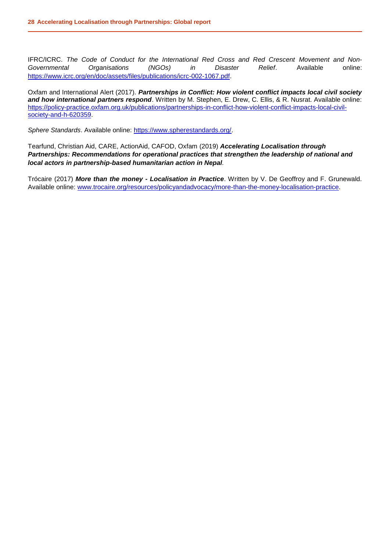IFRC/ICRC. *The Code of Conduct for the International Red Cross and Red Crescent Movement and Non-Governmental Organisations (NGOs) in Disaster Relief*. Available online: [https://www.icrc.org/en/doc/assets/files/publications/icrc-002-1067.pdf.](https://www.icrc.org/en/doc/assets/files/publications/icrc-002-1067.pdf)

Oxfam and International Alert (2017). *Partnerships in Conflict: How violent conflict impacts local civil society and how international partners respond*. Written by M. Stephen, E. Drew, C. Ellis, & R. Nusrat. Available online: [https://policy-practice.oxfam.org.uk/publications/partnerships-in-conflict-how-violent-conflict-impacts-local-civil](https://policy-practice.oxfam.org.uk/publications/partnerships-in-conflict-how-violent-conflict-impacts-local-civil-society-and-h-620359)[society-and-h-620359.](https://policy-practice.oxfam.org.uk/publications/partnerships-in-conflict-how-violent-conflict-impacts-local-civil-society-and-h-620359) 

*Sphere Standards*. Available online: [https://www.spherestandards.org/.](https://www.spherestandards.org/)

Tearfund, Christian Aid, CARE, ActionAid, CAFOD, Oxfam (2019) *Accelerating Localisation through Partnerships: Recommendations for operational practices that strengthen the leadership of national and local actors in partnership-based humanitarian action in Nepal.*

Trócaire (2017) *More than the money - Localisation in Practice*. Written by V. De Geoffroy and F. Grunewald. Available online: [www.trocaire.org/resources/policyandadvocacy/more-than-the-money-localisation-practice.](http://www.trocaire.org/resources/policyandadvocacy/more-than-the-money-localisation-practice)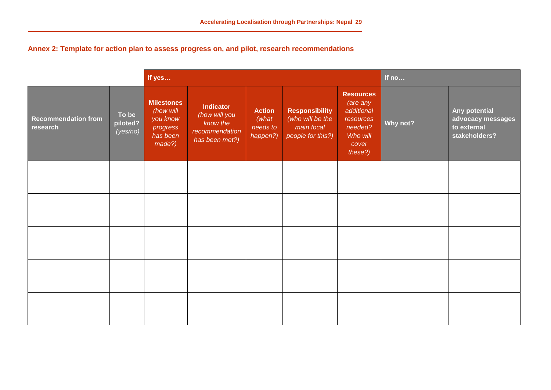**Annex 2: Template for action plan to assess progress on, and pilot, research recommendations** 

|                                        |                               | If yes                                                                       |                                                                                   |                                                 |                                                                              |                                                                                                    | If no    |                                                                    |
|----------------------------------------|-------------------------------|------------------------------------------------------------------------------|-----------------------------------------------------------------------------------|-------------------------------------------------|------------------------------------------------------------------------------|----------------------------------------------------------------------------------------------------|----------|--------------------------------------------------------------------|
| <b>Recommendation from</b><br>research | To be<br>piloted?<br>(yes/no) | <b>Milestones</b><br>(how will<br>you know<br>progress<br>has been<br>made?) | <b>Indicator</b><br>(how will you<br>know the<br>recommendation<br>has been met?) | <b>Action</b><br>(what)<br>needs to<br>happen?) | <b>Responsibility</b><br>(who will be the<br>main focal<br>people for this?) | <b>Resources</b><br>(are any<br>additional<br>resources<br>needed?<br>Who will<br>cover<br>these?) | Why not? | Any potential<br>advocacy messages<br>to external<br>stakeholders? |
|                                        |                               |                                                                              |                                                                                   |                                                 |                                                                              |                                                                                                    |          |                                                                    |
|                                        |                               |                                                                              |                                                                                   |                                                 |                                                                              |                                                                                                    |          |                                                                    |
|                                        |                               |                                                                              |                                                                                   |                                                 |                                                                              |                                                                                                    |          |                                                                    |
|                                        |                               |                                                                              |                                                                                   |                                                 |                                                                              |                                                                                                    |          |                                                                    |
|                                        |                               |                                                                              |                                                                                   |                                                 |                                                                              |                                                                                                    |          |                                                                    |